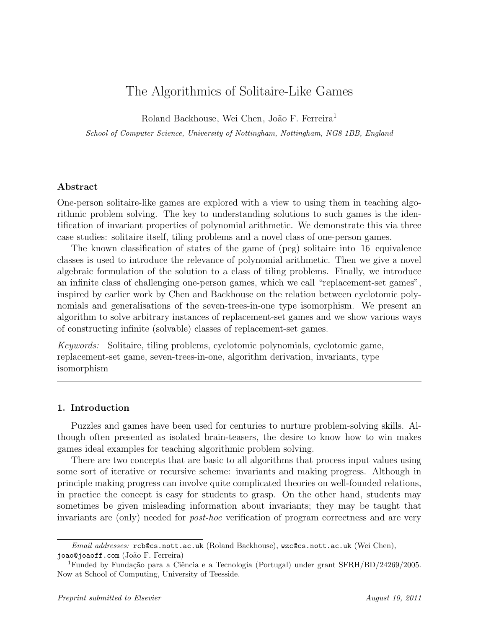# The Algorithmics of Solitaire-Like Games

Roland Backhouse, Wei Chen, João F. Ferreira<sup>1</sup>

School of Computer Science, University of Nottingham, Nottingham, NG8 1BB, England

## Abstract

One-person solitaire-like games are explored with a view to using them in teaching algorithmic problem solving. The key to understanding solutions to such games is the identification of invariant properties of polynomial arithmetic. We demonstrate this via three case studies: solitaire itself, tiling problems and a novel class of one-person games.

The known classification of states of the game of (peg) solitaire into 16 equivalence classes is used to introduce the relevance of polynomial arithmetic. Then we give a novel algebraic formulation of the solution to a class of tiling problems. Finally, we introduce an infinite class of challenging one-person games, which we call "replacement-set games", inspired by earlier work by Chen and Backhouse on the relation between cyclotomic polynomials and generalisations of the seven-trees-in-one type isomorphism. We present an algorithm to solve arbitrary instances of replacement-set games and we show various ways of constructing infinite (solvable) classes of replacement-set games.

Keywords: Solitaire, tiling problems, cyclotomic polynomials, cyclotomic game, replacement-set game, seven-trees-in-one, algorithm derivation, invariants, type isomorphism

# 1. Introduction

Puzzles and games have been used for centuries to nurture problem-solving skills. Although often presented as isolated brain-teasers, the desire to know how to win makes games ideal examples for teaching algorithmic problem solving.

There are two concepts that are basic to all algorithms that process input values using some sort of iterative or recursive scheme: invariants and making progress. Although in principle making progress can involve quite complicated theories on well-founded relations, in practice the concept is easy for students to grasp. On the other hand, students may sometimes be given misleading information about invariants; they may be taught that invariants are (only) needed for post-hoc verification of program correctness and are very

Email addresses: rcb@cs.nott.ac.uk (Roland Backhouse), wzc@cs.nott.ac.uk (Wei Chen), joao@joaoff.com (João F. Ferreira)

<sup>&</sup>lt;sup>1</sup>Funded by Fundação para a Ciência e a Tecnologia (Portugal) under grant SFRH/BD/24269/2005. Now at School of Computing, University of Teesside.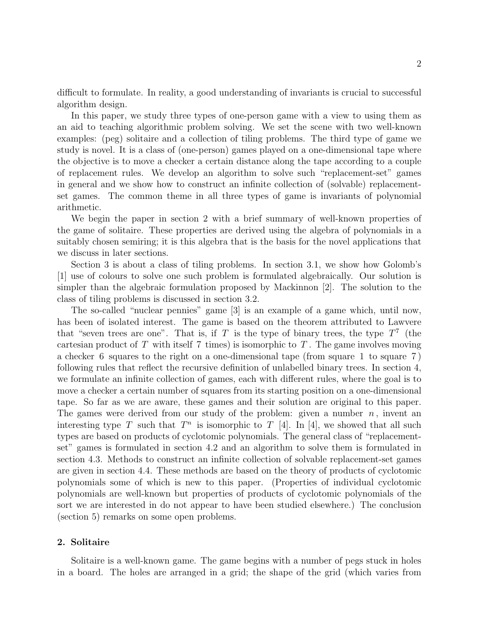difficult to formulate. In reality, a good understanding of invariants is crucial to successful algorithm design.

In this paper, we study three types of one-person game with a view to using them as an aid to teaching algorithmic problem solving. We set the scene with two well-known examples: (peg) solitaire and a collection of tiling problems. The third type of game we study is novel. It is a class of (one-person) games played on a one-dimensional tape where the objective is to move a checker a certain distance along the tape according to a couple of replacement rules. We develop an algorithm to solve such "replacement-set" games in general and we show how to construct an infinite collection of (solvable) replacementset games. The common theme in all three types of game is invariants of polynomial arithmetic.

We begin the paper in section 2 with a brief summary of well-known properties of the game of solitaire. These properties are derived using the algebra of polynomials in a suitably chosen semiring; it is this algebra that is the basis for the novel applications that we discuss in later sections.

Section 3 is about a class of tiling problems. In section 3.1, we show how Golomb's [1] use of colours to solve one such problem is formulated algebraically. Our solution is simpler than the algebraic formulation proposed by Mackinnon [2]. The solution to the class of tiling problems is discussed in section 3.2.

The so-called "nuclear pennies" game [3] is an example of a game which, until now, has been of isolated interest. The game is based on the theorem attributed to Lawvere that "seven trees are one". That is, if T is the type of binary trees, the type  $T^7$  (the cartesian product of  $T$  with itself  $7$  times) is isomorphic to  $T$ . The game involves moving a checker 6 squares to the right on a one-dimensional tape (from square 1 to square 7 ) following rules that reflect the recursive definition of unlabelled binary trees. In section 4, we formulate an infinite collection of games, each with different rules, where the goal is to move a checker a certain number of squares from its starting position on a one-dimensional tape. So far as we are aware, these games and their solution are original to this paper. The games were derived from our study of the problem: given a number  $n$ , invent an interesting type T such that  $T^n$  is isomorphic to T [4]. In [4], we showed that all such types are based on products of cyclotomic polynomials. The general class of "replacementset" games is formulated in section 4.2 and an algorithm to solve them is formulated in section 4.3. Methods to construct an infinite collection of solvable replacement-set games are given in section 4.4. These methods are based on the theory of products of cyclotomic polynomials some of which is new to this paper. (Properties of individual cyclotomic polynomials are well-known but properties of products of cyclotomic polynomials of the sort we are interested in do not appear to have been studied elsewhere.) The conclusion (section 5) remarks on some open problems.

## 2. Solitaire

Solitaire is a well-known game. The game begins with a number of pegs stuck in holes in a board. The holes are arranged in a grid; the shape of the grid (which varies from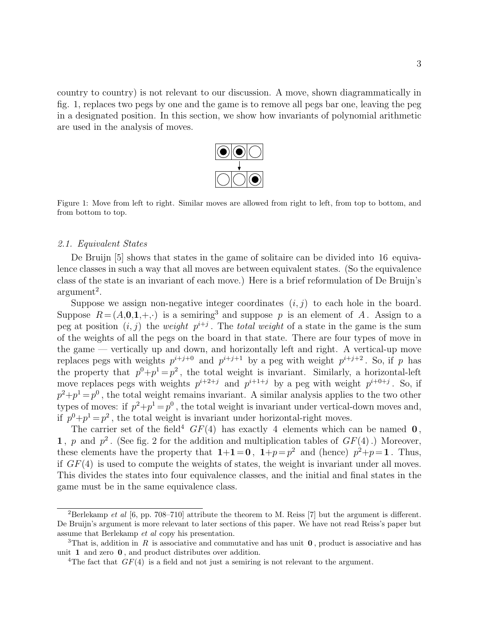country to country) is not relevant to our discussion. A move, shown diagrammatically in fig. 1, replaces two pegs by one and the game is to remove all pegs bar one, leaving the peg in a designated position. In this section, we show how invariants of polynomial arithmetic are used in the analysis of moves.



Figure 1: Move from left to right. Similar moves are allowed from right to left, from top to bottom, and from bottom to top.

## 2.1. Equivalent States

De Bruijn [5] shows that states in the game of solitaire can be divided into 16 equivalence classes in such a way that all moves are between equivalent states. (So the equivalence class of the state is an invariant of each move.) Here is a brief reformulation of De Bruijn's  $argument^2$ .

Suppose we assign non-negative integer coordinates  $(i, j)$  to each hole in the board. Suppose  $R = (A, 0, 1, +, \cdot)$  is a semiring<sup>3</sup> and suppose p is an element of A. Assign to a peg at position  $(i, j)$  the *weight*  $p^{i+j}$ . The *total weight* of a state in the game is the sum of the weights of all the pegs on the board in that state. There are four types of move in the game — vertically up and down, and horizontally left and right. A vertical-up move replaces pegs with weights  $p^{i+j+0}$  and  $p^{i+j+1}$  by a peg with weight  $p^{i+j+2}$ . So, if p has the property that  $p^0+p^1=p^2$ , the total weight is invariant. Similarly, a horizontal-left move replaces pegs with weights  $p^{i+2+j}$  and  $p^{i+1+j}$  by a peg with weight  $p^{i+0+j}$ . So, if  $p^2+p^1=p^0$ , the total weight remains invariant. A similar analysis applies to the two other types of moves: if  $p^2+p^1=p^0$ , the total weight is invariant under vertical-down moves and, if  $p^0+p^1=p^2$ , the total weight is invariant under horizontal-right moves.

The carrier set of the field<sup>4</sup>  $GF(4)$  has exactly 4 elements which can be named 0, 1, p and  $p^2$ . (See fig. 2 for the addition and multiplication tables of  $GF(4)$ .) Moreover, these elements have the property that  $1+1=0$ ,  $1+p=p^2$  and (hence)  $p^2+p=1$ . Thus, if  $GF(4)$  is used to compute the weights of states, the weight is invariant under all moves. This divides the states into four equivalence classes, and the initial and final states in the game must be in the same equivalence class.

<sup>&</sup>lt;sup>2</sup>Berlekamp et al  $[6, pp. 708–710]$  attribute the theorem to M. Reiss  $[7]$  but the argument is different. De Bruijn's argument is more relevant to later sections of this paper. We have not read Reiss's paper but assume that Berlekamp et al copy his presentation.

<sup>&</sup>lt;sup>3</sup>That is, addition in R is associative and commutative and has unit  $\bf{0}$ , product is associative and has unit 1 and zero 0 , and product distributes over addition.

<sup>&</sup>lt;sup>4</sup>The fact that  $GF(4)$  is a field and not just a semiring is not relevant to the argument.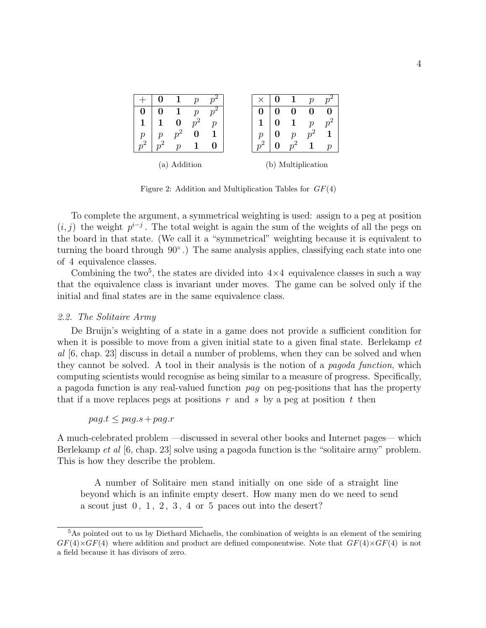|   |          |                   |        |  |          |                     | р                        |       |
|---|----------|-------------------|--------|--|----------|---------------------|--------------------------|-------|
|   |          |                   |        |  |          |                     |                          |       |
| 1 |          |                   | c<br>п |  |          |                     | $\boldsymbol{v}$         | $p^2$ |
| р | р        | $\Omega$<br>$p^2$ | U      |  | р        | $\boldsymbol{\eta}$ | $\Omega$<br>$p^{\omega}$ |       |
| റ | $\Omega$ | п                 |        |  | $\Omega$ | $\Omega$<br>n       |                          |       |

Figure 2: Addition and Multiplication Tables for  $GF(4)$ 

To complete the argument, a symmetrical weighting is used: assign to a peg at position  $(i, j)$  the weight  $p^{i-j}$ . The total weight is again the sum of the weights of all the pegs on the board in that state. (We call it a "symmetrical" weighting because it is equivalent to turning the board through 90◦ .) The same analysis applies, classifying each state into one of 4 equivalence classes.

Combining the two<sup>5</sup>, the states are divided into  $4\times4$  equivalence classes in such a way that the equivalence class is invariant under moves. The game can be solved only if the initial and final states are in the same equivalence class.

#### 2.2. The Solitaire Army

De Bruijn's weighting of a state in a game does not provide a sufficient condition for when it is possible to move from a given initial state to a given final state. Berlekamp *et*  $al \, [6, \text{chap. } 23]$  discuss in detail a number of problems, when they can be solved and when they cannot be solved. A tool in their analysis is the notion of a *pagoda function*, which computing scientists would recognise as being similar to a measure of progress. Specifically, a pagoda function is any real-valued function pag on peg-positions that has the property that if a move replaces pegs at positions r and s by a peg at position t then

## $paq.t \leq paq.s + paq.r$

A much-celebrated problem —discussed in several other books and Internet pages— which Berlekamp *et al* [6, chap. 23] solve using a pagoda function is the "solitaire army" problem. This is how they describe the problem.

A number of Solitaire men stand initially on one side of a straight line beyond which is an infinite empty desert. How many men do we need to send a scout just  $0, 1, 2, 3, 4$  or  $5$  paces out into the desert?

 $5$ As pointed out to us by Diethard Michaelis, the combination of weights is an element of the semiring  $GF(4)\times GF(4)$  where addition and product are defined componentwise. Note that  $GF(4)\times GF(4)$  is not a field because it has divisors of zero.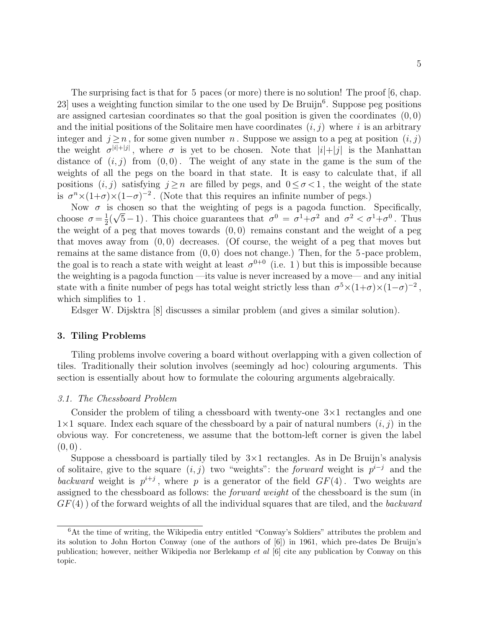The surprising fact is that for 5 paces (or more) there is no solution! The proof [6, chap. 23] uses a weighting function similar to the one used by De Bruijn<sup>6</sup>. Suppose peg positions are assigned cartesian coordinates so that the goal position is given the coordinates  $(0, 0)$ and the initial positions of the Solitaire men have coordinates  $(i, j)$  where i is an arbitrary integer and  $j \geq n$ , for some given number n. Suppose we assign to a peg at position  $(i, j)$ the weight  $\sigma^{|i|+|j|}$ , where  $\sigma$  is yet to be chosen. Note that  $|i|+|j|$  is the Manhattan distance of  $(i, j)$  from  $(0, 0)$ . The weight of any state in the game is the sum of the weights of all the pegs on the board in that state. It is easy to calculate that, if all positions  $(i, j)$  satisfying  $j \geq n$  are filled by pegs, and  $0 \leq \sigma < 1$ , the weight of the state is  $\sigma^{n} \times (1+\sigma) \times (1-\sigma)^{-2}$ . (Note that this requires an infinite number of pegs.)

Now  $\sigma$  is chosen so that the weighting of pegs is a pagoda function. Specifically, choose  $\sigma = \frac{1}{2}$  $rac{1}{2}$  ( √  $\overline{5}-1$ ). This choice guarantees that  $\sigma^0 = \sigma^1 + \sigma^2$  and  $\sigma^2 < \sigma^1 + \sigma^0$ . Thus the weight of a peg that moves towards  $(0, 0)$  remains constant and the weight of a peg that moves away from  $(0, 0)$  decreases. (Of course, the weight of a peg that moves but remains at the same distance from  $(0, 0)$  does not change.) Then, for the 5-pace problem, the goal is to reach a state with weight at least  $\sigma^{0+0}$  (i.e. 1) but this is impossible because the weighting is a pagoda function —its value is never increased by a move— and any initial state with a finite number of pegs has total weight strictly less than  $\sigma^5 \times (1+\sigma) \times (1-\sigma)^{-2}$ , which simplifies to 1.

Edsger W. Dijsktra [8] discusses a similar problem (and gives a similar solution).

### 3. Tiling Problems

Tiling problems involve covering a board without overlapping with a given collection of tiles. Traditionally their solution involves (seemingly ad hoc) colouring arguments. This section is essentially about how to formulate the colouring arguments algebraically.

#### 3.1. The Chessboard Problem

Consider the problem of tiling a chessboard with twenty-one  $3\times1$  rectangles and one  $1\times1$  square. Index each square of the chessboard by a pair of natural numbers  $(i, j)$  in the obvious way. For concreteness, we assume that the bottom-left corner is given the label  $(0, 0)$ .

Suppose a chessboard is partially tiled by  $3\times1$  rectangles. As in De Bruijn's analysis of solitaire, give to the square  $(i, j)$  two "weights": the *forward* weight is  $p^{i-j}$  and the backward weight is  $p^{i+j}$ , where p is a generator of the field  $GF(4)$ . Two weights are assigned to the chessboard as follows: the forward weight of the chessboard is the sum (in  $GF(4)$  of the forward weights of all the individual squares that are tiled, and the backward

 ${}^{6}$ At the time of writing, the Wikipedia entry entitled "Conway's Soldiers" attributes the problem and its solution to John Horton Conway (one of the authors of [6]) in 1961, which pre-dates De Bruijn's publication; however, neither Wikipedia nor Berlekamp et al [6] cite any publication by Conway on this topic.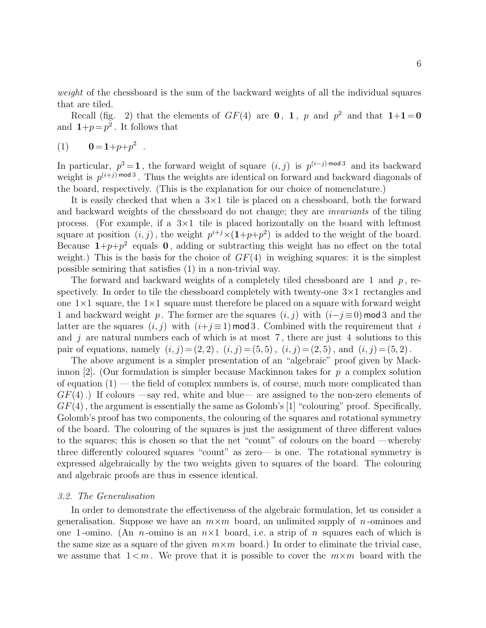weight of the chessboard is the sum of the backward weights of all the individual squares that are tiled.

Recall (fig. 2) that the elements of  $GF(4)$  are **0**, **1**, *p* and  $p^2$  and that  $1+1=0$ and  $1+p=p^2$ . It follows that

(1) 
$$
0 = 1 + p + p^2.
$$

In particular,  $p^3 = 1$ , the forward weight of square  $(i, j)$  is  $p^{(i-j) \mod 3}$  and its backward weight is  $p^{(i+j) \mod 3}$ . Thus the weights are identical on forward and backward diagonals of the board, respectively. (This is the explanation for our choice of nomenclature.)

It is easily checked that when a  $3\times1$  tile is placed on a chessboard, both the forward and backward weights of the chessboard do not change; they are invariants of the tiling process. (For example, if a  $3\times1$  tile is placed horizontally on the board with leftmost square at position  $(i, j)$ , the weight  $p^{i+j} \times (1+p+p^2)$  is added to the weight of the board. Because  $1+p+p^2$  equals 0, adding or subtracting this weight has no effect on the total weight.) This is the basis for the choice of  $GF(4)$  in weighing squares: it is the simplest possible semiring that satisfies (1) in a non-trivial way.

The forward and backward weights of a completely tiled chessboard are 1 and  $p$ , respectively. In order to tile the chessboard completely with twenty-one  $3\times1$  rectangles and one  $1\times1$  square, the  $1\times1$  square must therefore be placed on a square with forward weight 1 and backward weight p. The former are the squares  $(i, j)$  with  $(i-j \equiv 0)$  mod 3 and the latter are the squares  $(i, j)$  with  $(i+j \equiv 1) \mod 3$ . Combined with the requirement that i and  $j$  are natural numbers each of which is at most 7, there are just 4 solutions to this pair of equations, namely  $(i, j) = (2, 2)$ ,  $(i, j) = (5, 5)$ ,  $(i, j) = (2, 5)$ , and  $(i, j) = (5, 2)$ .

The above argument is a simpler presentation of an "algebraic" proof given by Mackinnon [2]. (Our formulation is simpler because Mackinnon takes for  $p$  a complex solution of equation  $(1)$  — the field of complex numbers is, of course, much more complicated than  $GF(4)$ .) If colours —say red, white and blue— are assigned to the non-zero elements of  $GF(4)$ , the argument is essentially the same as Golomb's [1] "colouring" proof. Specifically, Golomb's proof has two components, the colouring of the squares and rotational symmetry of the board. The colouring of the squares is just the assignment of three different values to the squares; this is chosen so that the net "count" of colours on the board —whereby three differently coloured squares "count" as zero— is one. The rotational symmetry is expressed algebraically by the two weights given to squares of the board. The colouring and algebraic proofs are thus in essence identical.

#### 3.2. The Generalisation

In order to demonstrate the effectiveness of the algebraic formulation, let us consider a generalisation. Suppose we have an  $m \times m$  board, an unlimited supply of n-ominoes and one 1-omino. (An *n*-omino is an  $n \times 1$  board, i.e. a strip of *n* squares each of which is the same size as a square of the given  $m \times m$  board.) In order to eliminate the trivial case, we assume that  $1 \leq m$ . We prove that it is possible to cover the  $m \times m$  board with the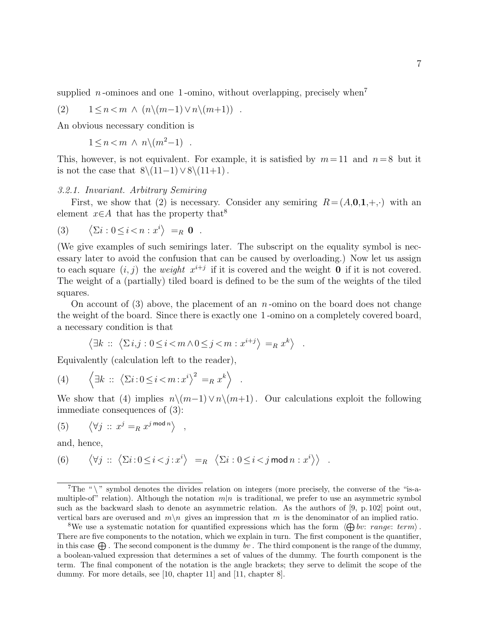supplied n-ominoes and one 1-omino, without overlapping, precisely when<sup>7</sup>

$$
(2) \t 1 \leq n < m \wedge (n \setminus (m-1) \vee n \setminus (m+1)) .
$$

An obvious necessary condition is

$$
1 \leq n < m \land n \setminus (m^2 - 1) \quad .
$$

This, however, is not equivalent. For example, it is satisfied by  $m = 11$  and  $n = 8$  but it is not the case that  $8\(11-1)\vee8\(11+1)$ .

#### 3.2.1. Invariant. Arbitrary Semiring

First, we show that (2) is necessary. Consider any semiring  $R = (A, 0, 1, +, \cdot)$  with an element  $x \in A$  that has the property that<sup>8</sup>

$$
(3) \qquad \left\langle \Sigma i : 0 \leq i < n : x^i \right\rangle =_R \mathbf{0} .
$$

(We give examples of such semirings later. The subscript on the equality symbol is necessary later to avoid the confusion that can be caused by overloading.) Now let us assign to each square  $(i, j)$  the *weight*  $x^{i+j}$  if it is covered and the weight **0** if it is not covered. The weight of a (partially) tiled board is defined to be the sum of the weights of the tiled squares.

On account of  $(3)$  above, the placement of an n-omino on the board does not change the weight of the board. Since there is exactly one 1 -omino on a completely covered board, a necessary condition is that

.

$$
\left\langle \exists k \; \cdots \; \left\langle \Sigma i, j : 0 \le i < m \land 0 \le j < m : x^{i+j} \right\rangle \; =_R x^k \right\rangle
$$

Equivalently (calculation left to the reader),

(4) 
$$
\left\langle \exists k :: \left\langle \Sigma i : 0 \leq i < m : x^i \right\rangle^2 =_R x^k \right\rangle
$$
.

We show that (4) implies  $n\{(m-1)\vee n\}(m+1)$ . Our calculations exploit the following immediate consequences of (3):

(5) 
$$
\langle \forall j : x^j =_R x^{j \mod n} \rangle
$$
,

and, hence,

(6) 
$$
\langle \forall j :: \langle \Sigma i : 0 \le i < j : x^i \rangle =_R \langle \Sigma i : 0 \le i < j \text{ mod } n : x^i \rangle \rangle
$$
.

 $7 \text{The }$  " $\setminus$  " symbol denotes the divides relation on integers (more precisely, the converse of the "is-amultiple-of" relation). Although the notation  $m|n$  is traditional, we prefer to use an asymmetric symbol such as the backward slash to denote an asymmetric relation. As the authors of [9, p. 102] point out, vertical bars are overused and  $m\backslash n$  gives an impression that m is the denominator of an implied ratio.

<sup>&</sup>lt;sup>8</sup>We use a systematic notation for quantified expressions which has the form  $\langle \bigoplus bv: range: term \rangle$ . There are five components to the notation, which we explain in turn. The first component is the quantifier, in this case  $\bigoplus$ . The second component is the dummy bv. The third component is the range of the dummy, a boolean-valued expression that determines a set of values of the dummy. The fourth component is the term. The final component of the notation is the angle brackets; they serve to delimit the scope of the dummy. For more details, see [10, chapter 11] and [11, chapter 8].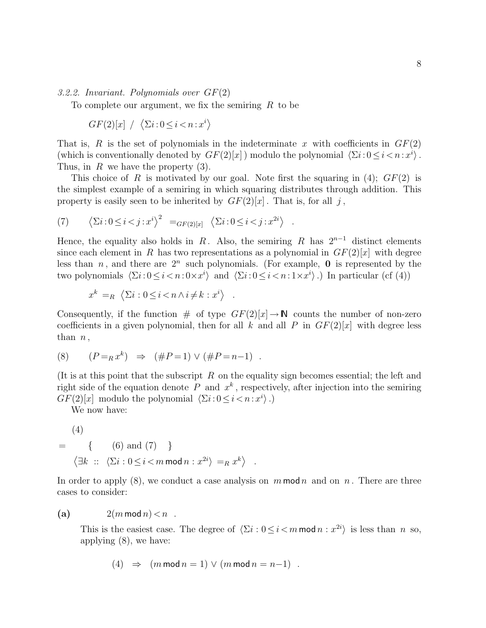3.2.2. Invariant. Polynomials over GF(2)

To complete our argument, we fix the semiring  $R$  to be

$$
GF(2)[x] / \langle \Sigma i : 0 \le i < n : x^i \rangle
$$

That is, R is the set of polynomials in the indeterminate x with coefficients in  $GF(2)$ (which is conventionally denoted by  $GF(2)[x]$ ) modulo the polynomial  $\langle \Sigma i: 0 \le i < n : x^i \rangle$ . Thus, in  $R$  we have the property  $(3)$ .

This choice of R is motivated by our goal. Note first the squaring in (4);  $GF(2)$  is the simplest example of a semiring in which squaring distributes through addition. This property is easily seen to be inherited by  $GF(2)[x]$ . That is, for all j,

(7) 
$$
\langle \Sigma i : 0 \le i < j : x^i \rangle^2 =_{GF(2)[x]} \langle \Sigma i : 0 \le i < j : x^{2i} \rangle
$$
.

Hence, the equality also holds in R. Also, the semiring R has  $2^{n-1}$  distinct elements since each element in R has two representations as a polynomial in  $GF(2)[x]$  with degree less than  $n$ , and there are  $2^n$  such polynomials. (For example, **0** is represented by the two polynomials  $\langle \Sigma i : 0 \le i < n : 0 \times x^i \rangle$  and  $\langle \Sigma i : 0 \le i < n : 1 \times x^i \rangle$ .) In particular (cf (4))

$$
x^{k} =_{R} \langle \Sigma i : 0 \leq i < n \land i \neq k : x^{i} \rangle
$$

Consequently, if the function  $\#$  of type  $GF(2)[x] \to \mathbb{N}$  counts the number of non-zero coefficients in a given polynomial, then for all k and all P in  $GF(2)|x|$  with degree less than  $n$ ,

.

(8) 
$$
(P =_R x^k) \Rightarrow (\#P = 1) \vee (\#P = n-1)
$$
.

(It is at this point that the subscript  $R$  on the equality sign becomes essential; the left and right side of the equation denote  $P$  and  $x^k$ , respectively, after injection into the semiring  $GF(2)[x]$  modulo the polynomial  $\langle \Sigma i : 0 \leq i < n : x^i \rangle$ .)

We now have:

$$
= \begin{cases} (4) \\ \{6\} \text{ and } (7) \\ \langle \exists k :: \langle \Sigma i : 0 \le i < m \bmod n : x^{2i} \rangle =_R x^k \rangle \end{cases}.
$$

In order to apply (8), we conduct a case analysis on  $m \mod n$  and on  $n$ . There are three cases to consider:

$$
(a) \t 2(m \mod n) < n .
$$

This is the easiest case. The degree of  $\langle \Sigma i : 0 \le i < m \mod n : x^{2i} \rangle$  is less than n so, applying (8), we have:

$$
(4) \Rightarrow (m \mod n = 1) \vee (m \mod n = n-1) .
$$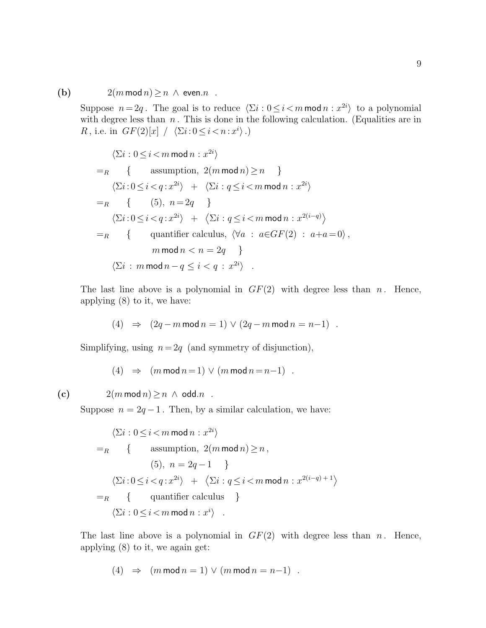(b)  $2(m \mod n) \ge n \land \text{even}.n$ .

Suppose  $n = 2q$ . The goal is to reduce  $\langle \Sigma i : 0 \le i < m \bmod n : x^{2i} \rangle$  to a polynomial with degree less than  $n$ . This is done in the following calculation. (Equalities are in R, i.e. in  $GF(2)[x] / \langle \Sigma i : 0 \leq i < n : x^i \rangle$ .

$$
\langle \Sigma i : 0 \le i < m \mod n : x^{2i} \rangle
$$
\n
$$
=_{R} \{ \text{ assumption, } 2(m \mod n) \ge n \}
$$
\n
$$
\langle \Sigma i : 0 \le i < q : x^{2i} \rangle + \langle \Sigma i : q \le i < m \mod n : x^{2i} \rangle
$$
\n
$$
=_{R} \{ (5), n = 2q \}
$$
\n
$$
\langle \Sigma i : 0 \le i < q : x^{2i} \rangle + \langle \Sigma i : q \le i < m \mod n : x^{2(i-q)} \rangle
$$
\n
$$
=_{R} \{ \text{quantifier calculus, } \langle \forall a : a \in GF(2) : a+a=0 \rangle, \text{ } m \mod n < n = 2q \} \}
$$
\n
$$
\langle \Sigma i : m \mod n - q \le i < q : x^{2i} \rangle .
$$

The last line above is a polynomial in  $GF(2)$  with degree less than n. Hence, applying (8) to it, we have:

$$
(4) \Rightarrow (2q - m \mod n = 1) \vee (2q - m \mod n = n - 1) .
$$

Simplifying, using  $n=2q$  (and symmetry of disjunction),

$$
(4) \Rightarrow (m \mod n = 1) \lor (m \mod n = n - 1) .
$$

(c)  $2(m \mod n) \ge n \land \text{odd}.n$ .

Suppose  $n = 2q - 1$ . Then, by a similar calculation, we have:

$$
\langle \Sigma i : 0 \le i < m \mod n : x^{2i} \rangle
$$
\n
$$
=_{R} \{ \text{ assumption, } 2(m \mod n) \ge n ,
$$
\n
$$
(5), n = 2q - 1 \}
$$
\n
$$
\langle \Sigma i : 0 \le i < q : x^{2i} \rangle + \langle \Sigma i : q \le i < m \mod n : x^{2(i-q)+1} \rangle
$$
\n
$$
=_{R} \{ \text{quantifier calculus } \} \}
$$
\n
$$
\langle \Sigma i : 0 \le i < m \mod n : x^{i} \rangle .
$$

The last line above is a polynomial in  $GF(2)$  with degree less than n. Hence, applying (8) to it, we again get:

$$
(4) \Rightarrow (m \mod n = 1) \vee (m \mod n = n-1) .
$$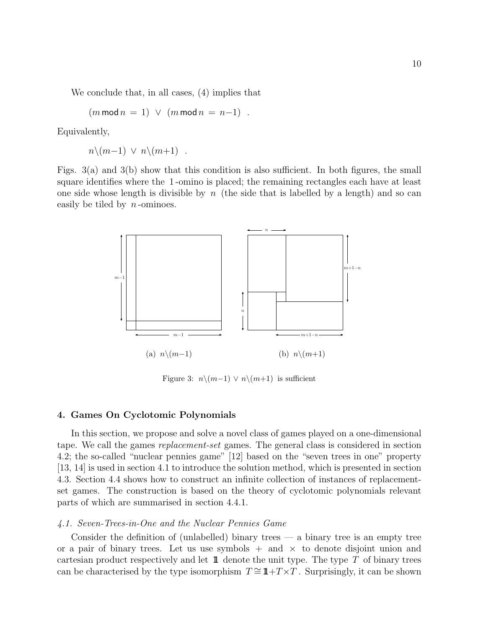We conclude that, in all cases, (4) implies that

$$
(m \mod n = 1) \lor (m \mod n = n-1) .
$$

Equivalently,

 $n\ (m-1) \vee n\ (m+1)$ .

Figs. 3(a) and 3(b) show that this condition is also sufficient. In both figures, the small square identifies where the 1 -omino is placed; the remaining rectangles each have at least one side whose length is divisible by  $n$  (the side that is labelled by a length) and so can easily be tiled by  $n$ -ominoes.



Figure 3:  $n \setminus (m-1) \vee n \setminus (m+1)$  is sufficient

## 4. Games On Cyclotomic Polynomials

In this section, we propose and solve a novel class of games played on a one-dimensional tape. We call the games replacement-set games. The general class is considered in section 4.2; the so-called "nuclear pennies game" [12] based on the "seven trees in one" property [13, 14] is used in section 4.1 to introduce the solution method, which is presented in section 4.3. Section 4.4 shows how to construct an infinite collection of instances of replacementset games. The construction is based on the theory of cyclotomic polynomials relevant parts of which are summarised in section 4.4.1.

## 4.1. Seven-Trees-in-One and the Nuclear Pennies Game

Consider the definition of (unlabelled) binary trees — a binary tree is an empty tree or a pair of binary trees. Let us use symbols  $+$  and  $\times$  to denote disjoint union and cartesian product respectively and let  $\mathbbm{1}$  denote the unit type. The type T of binary trees can be characterised by the type isomorphism  $T \cong 1 + T \times T$ . Surprisingly, it can be shown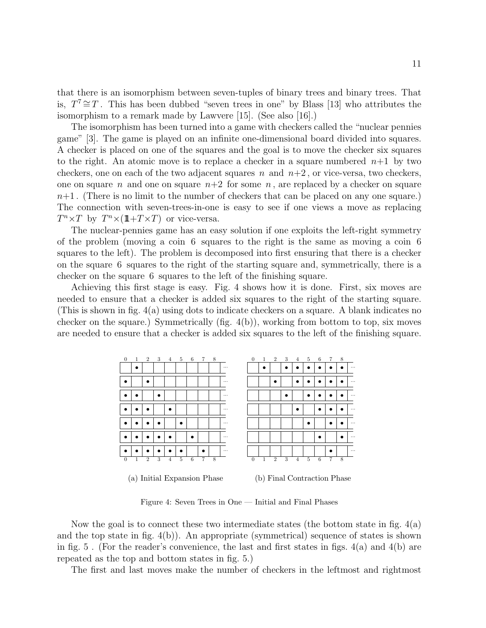that there is an isomorphism between seven-tuples of binary trees and binary trees. That is,  $T^7 \cong T$ . This has been dubbed "seven trees in one" by Blass [13] who attributes the isomorphism to a remark made by Lawvere [15]. (See also [16].)

The isomorphism has been turned into a game with checkers called the "nuclear pennies game" [3]. The game is played on an infinite one-dimensional board divided into squares. A checker is placed on one of the squares and the goal is to move the checker six squares to the right. An atomic move is to replace a checker in a square numbered  $n+1$  by two checkers, one on each of the two adjacent squares n and  $n+2$ , or vice-versa, two checkers, one on square n and one on square  $n+2$  for some n, are replaced by a checker on square  $n+1$ . (There is no limit to the number of checkers that can be placed on any one square.) The connection with seven-trees-in-one is easy to see if one views a move as replacing  $T^n \times T$  by  $T^n \times (\mathbb{1} + T \times T)$  or vice-versa.

The nuclear-pennies game has an easy solution if one exploits the left-right symmetry of the problem (moving a coin 6 squares to the right is the same as moving a coin 6 squares to the left). The problem is decomposed into first ensuring that there is a checker on the square 6 squares to the right of the starting square and, symmetrically, there is a checker on the square 6 squares to the left of the finishing square.

Achieving this first stage is easy. Fig. 4 shows how it is done. First, six moves are needed to ensure that a checker is added six squares to the right of the starting square. (This is shown in fig.  $4(a)$  using dots to indicate checkers on a square. A blank indicates no checker on the square.) Symmetrically (fig. 4(b)), working from bottom to top, six moves are needed to ensure that a checker is added six squares to the left of the finishing square.



(b) Final Contraction Phase

Figure 4: Seven Trees in One — Initial and Final Phases

Now the goal is to connect these two intermediate states (the bottom state in fig. 4(a) and the top state in fig. 4(b)). An appropriate (symmetrical) sequence of states is shown in fig. 5. (For the reader's convenience, the last and first states in figs.  $4(a)$  and  $4(b)$  are repeated as the top and bottom states in fig. 5.)

The first and last moves make the number of checkers in the leftmost and rightmost

... ... ... ... ... ...

...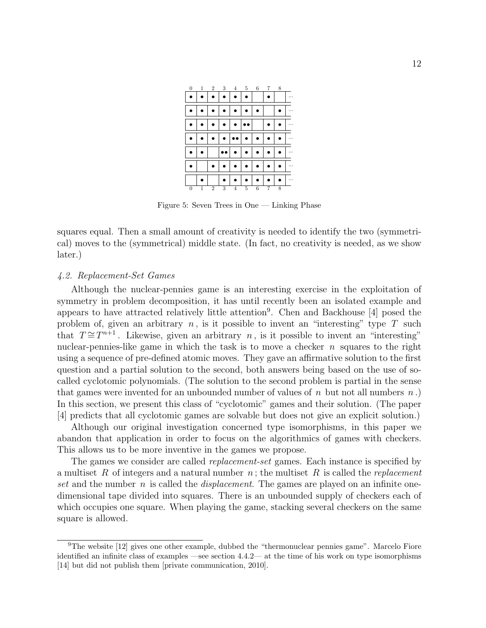| $\overline{0}$ | $\overline{2}$ | 3              | 4 | 5           | 6   | 7           | 8 |  |
|----------------|----------------|----------------|---|-------------|-----|-------------|---|--|
|                |                |                |   |             |     |             |   |  |
|                |                |                |   |             |     |             |   |  |
|                |                |                |   |             |     |             |   |  |
|                |                |                |   |             |     |             |   |  |
|                |                |                |   |             |     |             |   |  |
|                |                |                |   |             |     |             |   |  |
|                |                |                |   |             |     |             |   |  |
|                |                |                |   |             |     |             |   |  |
| $\theta$       | $\overline{2}$ | $\overline{3}$ |   | $4 \quad 5$ | 6 — | $7^{\circ}$ | 8 |  |

Figure 5: Seven Trees in One — Linking Phase

squares equal. Then a small amount of creativity is needed to identify the two (symmetrical) moves to the (symmetrical) middle state. (In fact, no creativity is needed, as we show later.)

# 4.2. Replacement-Set Games

Although the nuclear-pennies game is an interesting exercise in the exploitation of symmetry in problem decomposition, it has until recently been an isolated example and appears to have attracted relatively little attention<sup>9</sup>. Chen and Backhouse [4] posed the problem of, given an arbitrary  $n$ , is it possible to invent an "interesting" type T such that  $T \cong T^{n+1}$ . Likewise, given an arbitrary n, is it possible to invent an "interesting" nuclear-pennies-like game in which the task is to move a checker  $n$  squares to the right using a sequence of pre-defined atomic moves. They gave an affirmative solution to the first question and a partial solution to the second, both answers being based on the use of socalled cyclotomic polynomials. (The solution to the second problem is partial in the sense that games were invented for an unbounded number of values of  $n$  but not all numbers  $n$ . In this section, we present this class of "cyclotomic" games and their solution. (The paper [4] predicts that all cyclotomic games are solvable but does not give an explicit solution.)

Although our original investigation concerned type isomorphisms, in this paper we abandon that application in order to focus on the algorithmics of games with checkers. This allows us to be more inventive in the games we propose.

The games we consider are called *replacement-set* games. Each instance is specified by a multiset R of integers and a natural number  $n$ ; the multiset R is called the *replacement* set and the number n is called the *displacement*. The games are played on an infinite onedimensional tape divided into squares. There is an unbounded supply of checkers each of which occupies one square. When playing the game, stacking several checkers on the same square is allowed.

<sup>9</sup>The website [12] gives one other example, dubbed the "thermonuclear pennies game". Marcelo Fiore identified an infinite class of examples —see section 4.4.2— at the time of his work on type isomorphisms [14] but did not publish them [private communication, 2010].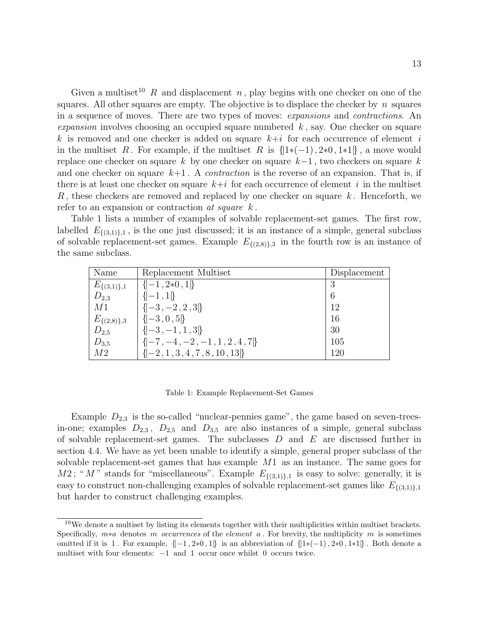Given a multiset<sup>10</sup> R and displacement n, play begins with one checker on one of the squares. All other squares are empty. The objective is to displace the checker by  $n$  squares in a sequence of moves. There are two types of moves: expansions and contractions. An expansion involves choosing an occupied square numbered  $k$ , say. One checker on square k is removed and one checker is added on square  $k+i$  for each occurrence of element i in the multiset R. For example, if the multiset R is  $\{1*(-1), 2*0, 1*1\}$ , a move would replace one checker on square k by one checker on square  $k-1$ , two checkers on square k and one checker on square  $k+1$ . A *contraction* is the reverse of an expansion. That is, if there is at least one checker on square  $k+i$  for each occurrence of element i in the multiset  $R$ , these checkers are removed and replaced by one checker on square  $k$ . Henceforth, we refer to an expansion or contraction at square  $k$ .

Table 1 lists a number of examples of solvable replacement-set games. The first row, labelled  $E_{\{(3,1)\},1}$ , is the one just discussed; it is an instance of a simple, general subclass of solvable replacement-set games. Example  $E_{\{(2,8)\},3}$  in the fourth row is an instance of the same subclass.

| Name              | Replacement Multiset             | Displacement |
|-------------------|----------------------------------|--------------|
| $E_{\{(3,1)\},1}$ | $\{-1, 2*0, 1\}$                 | 3            |
| $D_{2,3}$         | $\{-1,1\}$                       | 6            |
| M1                | $\{-3, -2, 2, 3\}$               | 12           |
| $E_{\{(2,8)\},3}$ | $\{-3,0,5\}$                     | -16          |
| $D_{2,5}$         | $\{-3, -1, 1, 3\}$               | 30           |
| $D_{3,5}$         | $\{-7, -4, -2, -1, 1, 2, 4, 7\}$ | 105          |
| M <sub>2</sub>    | $\{-2, 1, 3, 4, 7, 8, 10, 13\}$  | 120          |

#### Table 1: Example Replacement-Set Games

Example  $D_{2,3}$  is the so-called "nuclear-pennies game", the game based on seven-treesin-one; examples  $D_{2,3}$ ,  $D_{2,5}$  and  $D_{3,5}$  are also instances of a simple, general subclass of solvable replacement-set games. The subclasses  $D$  and  $E$  are discussed further in section 4.4. We have as yet been unable to identify a simple, general proper subclass of the solvable replacement-set games that has example M1 as an instance. The same goes for  $M2$ ; " $M$ " stands for "miscellaneous". Example  $E_{\{(3,1)\},1}$  is easy to solve: generally, it is easy to construct non-challenging examples of solvable replacement-set games like  $E_{\{(3,1)\},1}$ but harder to construct challenging examples.

 $10$ We denote a multiset by listing its elements together with their multiplicities within multiset brackets. Specifically,  $m*a$  denotes m *occurrences* of the *element* a. For brevity, the multiplicity m is sometimes omitted if it is 1. For example,  $\{-1, 2*0, 1\}$  is an abbreviation of  $\{|1*(-1), 2*0, 1*1|\}$ . Both denote a multiset with four elements:  $-1$  and 1 occur once whilst 0 occurs twice.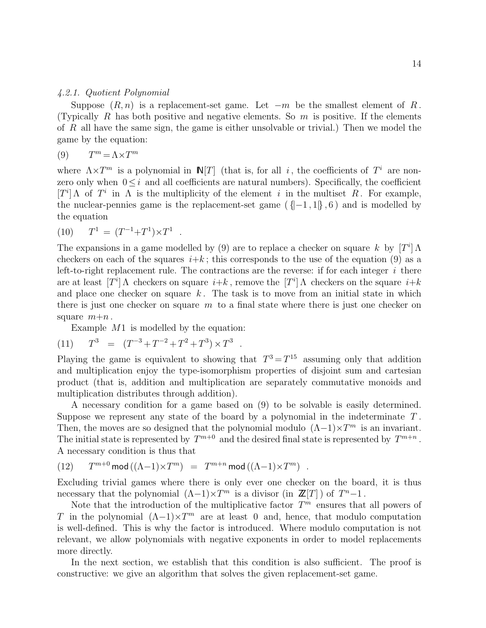## 4.2.1. Quotient Polynomial

Suppose  $(R, n)$  is a replacement-set game. Let  $-m$  be the smallest element of R. (Typically R has both positive and negative elements. So  $m$  is positive. If the elements of  $R$  all have the same sign, the game is either unsolvable or trivial.) Then we model the game by the equation:

$$
(9) \qquad T^m = \Lambda \times T^m
$$

where  $\Lambda \times T^m$  is a polynomial in  $\mathbb{N}[T]$  (that is, for all i, the coefficients of  $T^i$  are nonzero only when  $0 \leq i$  and all coefficients are natural numbers). Specifically, the coefficient  $[T^i]$   $\Lambda$  of  $T^i$  in  $\Lambda$  is the multiplicity of the element i in the multiset R. For example, the nuclear-pennies game is the replacement-set game  $($ {|-1,1},6) and is modelled by the equation

(10) 
$$
T^1 = (T^{-1} + T^1) \times T^1.
$$

The expansions in a game modelled by (9) are to replace a checker on square k by  $[T<sup>i</sup>] \Lambda$ checkers on each of the squares  $i+k$ ; this corresponds to the use of the equation (9) as a left-to-right replacement rule. The contractions are the reverse: if for each integer  $i$  there are at least  $[T<sup>i</sup>] \Lambda$  checkers on square  $i+k$ , remove the  $[T<sup>i</sup>] \Lambda$  checkers on the square  $i+k$ and place one checker on square  $k$ . The task is to move from an initial state in which there is just one checker on square  $m$  to a final state where there is just one checker on square  $m+n$ .

Example  $M1$  is modelled by the equation:

(11) 
$$
T^3 = (T^{-3} + T^{-2} + T^2 + T^3) \times T^3.
$$

Playing the game is equivalent to showing that  $T^3 = T^{15}$  assuming only that addition and multiplication enjoy the type-isomorphism properties of disjoint sum and cartesian product (that is, addition and multiplication are separately commutative monoids and multiplication distributes through addition).

A necessary condition for a game based on (9) to be solvable is easily determined. Suppose we represent any state of the board by a polynomial in the indeterminate  $T$ . Then, the moves are so designed that the polynomial modulo  $(Λ-1)×T<sup>m</sup>$  is an invariant. The initial state is represented by  $T^{m+0}$  and the desired final state is represented by  $T^{m+n}$ . A necessary condition is thus that

$$
(12) \qquad T^{m+0}\,\text{mod}\,((\Lambda-1)\times T^{m})\ =\ T^{m+n}\,\text{mod}\,((\Lambda-1)\times T^{m})\quad.
$$

Excluding trivial games where there is only ever one checker on the board, it is thus necessary that the polynomial  $(\Lambda - 1) \times T^m$  is a divisor (in  $\mathbb{Z}[T]$ ) of  $T^n - 1$ .

Note that the introduction of the multiplicative factor  $T<sup>m</sup>$  ensures that all powers of T in the polynomial  $(\Lambda - 1) \times T^m$  are at least 0 and, hence, that modulo computation is well-defined. This is why the factor is introduced. Where modulo computation is not relevant, we allow polynomials with negative exponents in order to model replacements more directly.

In the next section, we establish that this condition is also sufficient. The proof is constructive: we give an algorithm that solves the given replacement-set game.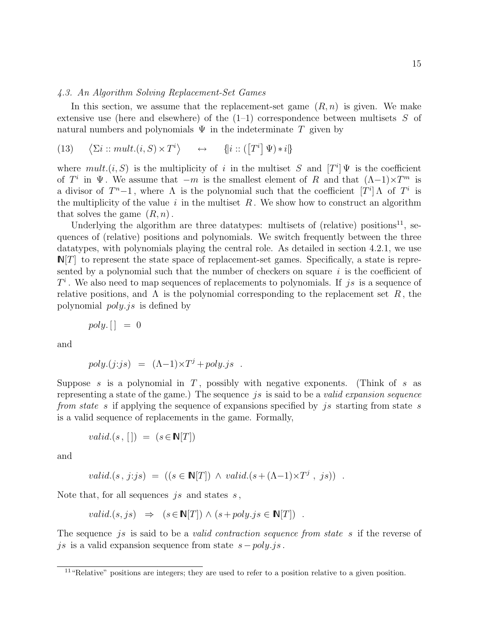In this section, we assume that the replacement-set game  $(R, n)$  is given. We make extensive use (here and elsewhere) of the  $(1-1)$  correspondence between multisets S of natural numbers and polynomials  $\Psi$  in the indeterminate T given by

(13)  $\langle \Sigma i : mult. (i, S) \times T^i \rangle \rightarrow \{ [i : (\lceil T^i \rceil \Psi) * i] \}$ 

where  $mult(i, S)$  is the multiplicity of i in the multiset S and  $[T<sup>i</sup>] \Psi$  is the coefficient of  $T^i$  in  $\Psi$ . We assume that  $-m$  is the smallest element of R and that  $(\Lambda-1)\times T^m$  is a divisor of  $T^{n}-1$ , where  $\Lambda$  is the polynomial such that the coefficient  $[T^{i}]\Lambda$  of  $T^{i}$  is the multiplicity of the value i in the multiset  $R$ . We show how to construct an algorithm that solves the game  $(R, n)$ .

Underlying the algorithm are three datatypes: multisets of (relative) positions $^{11}$ , sequences of (relative) positions and polynomials. We switch frequently between the three datatypes, with polynomials playing the central role. As detailed in section 4.2.1, we use  $\mathbb{N}[T]$  to represent the state space of replacement-set games. Specifically, a state is represented by a polynomial such that the number of checkers on square  $i$  is the coefficient of  $T^i$ . We also need to map sequences of replacements to polynomials. If js is a sequence of relative positions, and  $\Lambda$  is the polynomial corresponding to the replacement set  $R$ , the polynomial poly.js is defined by

$$
poly. \begin{bmatrix} \end{bmatrix} = 0
$$

and

$$
poly.(j:js) = (\Lambda - 1) \times T^j + poly.js .
$$

Suppose s is a polynomial in  $T$ , possibly with negative exponents. (Think of s as representing a state of the game.) The sequence is is said to be a valid expansion sequence from state s if applying the sequence of expansions specified by is starting from state s is a valid sequence of replacements in the game. Formally,

$$
valid.(s, [] = (s \in \mathbb{N}[T])
$$

and

$$
valid.(s, j:js) = ((s \in \mathbb{N}[T]) \land valid.(s + (\Lambda - 1) \times T^j, js)) .
$$

Note that, for all sequences  $js$  and states  $s$ ,

$$
valid.(s, js) \Rightarrow (s \in \mathbb{N}[T]) \land (s + poly.is \in \mathbb{N}[T]) .
$$

The sequence *js* is said to be a *valid contraction sequence from state s* if the reverse of js is a valid expansion sequence from state  $s-poly.js$ .

<sup>&</sup>lt;sup>11</sup> "Relative" positions are integers; they are used to refer to a position relative to a given position.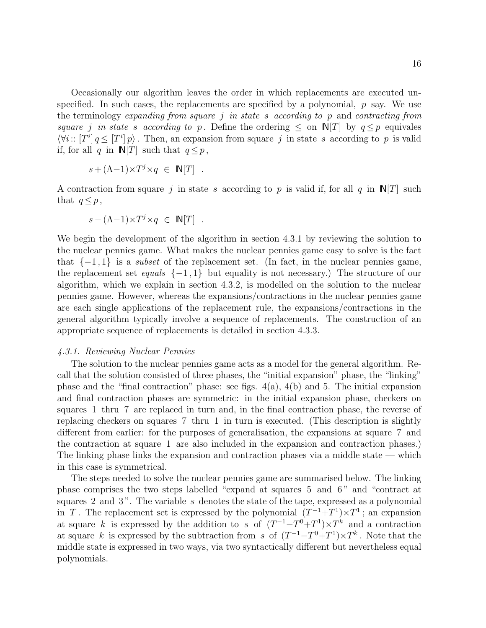Occasionally our algorithm leaves the order in which replacements are executed unspecified. In such cases, the replacements are specified by a polynomial,  $p$  say. We use the terminology expanding from square j in state s according to p and contracting from square j in state s according to p. Define the ordering  $\leq$  on  $N[T]$  by  $q \leq p$  equivales  $\langle \forall i : [T^i] \, q \leq [T^i] \, p \rangle$ . Then, an expansion from square j in state s according to p is valid if, for all q in  $\mathbb{N}[T]$  such that  $q \leq p$ ,

$$
s + (\Lambda - 1) \times T^j \times q \ \in \ \mathbb{N}[T] \ \ .
$$

A contraction from square j in state s according to p is valid if, for all q in  $N[T]$  such that  $q \leq p$ ,

$$
s - (\Lambda - 1) \times T^j \times q \ \in \ \mathbb{N}[T] \quad .
$$

We begin the development of the algorithm in section 4.3.1 by reviewing the solution to the nuclear pennies game. What makes the nuclear pennies game easy to solve is the fact that  $\{-1,1\}$  is a *subset* of the replacement set. (In fact, in the nuclear pennies game, the replacement set equals  $\{-1,1\}$  but equality is not necessary.) The structure of our algorithm, which we explain in section 4.3.2, is modelled on the solution to the nuclear pennies game. However, whereas the expansions/contractions in the nuclear pennies game are each single applications of the replacement rule, the expansions/contractions in the general algorithm typically involve a sequence of replacements. The construction of an appropriate sequence of replacements is detailed in section 4.3.3.

## 4.3.1. Reviewing Nuclear Pennies

The solution to the nuclear pennies game acts as a model for the general algorithm. Recall that the solution consisted of three phases, the "initial expansion" phase, the "linking" phase and the "final contraction" phase: see figs.  $4(a)$ ,  $4(b)$  and 5. The initial expansion and final contraction phases are symmetric: in the initial expansion phase, checkers on squares 1 thru 7 are replaced in turn and, in the final contraction phase, the reverse of replacing checkers on squares 7 thru 1 in turn is executed. (This description is slightly different from earlier: for the purposes of generalisation, the expansions at square 7 and the contraction at square 1 are also included in the expansion and contraction phases.) The linking phase links the expansion and contraction phases via a middle state — which in this case is symmetrical.

The steps needed to solve the nuclear pennies game are summarised below. The linking phase comprises the two steps labelled "expand at squares 5 and 6 " and "contract at squares 2 and  $3$ ". The variable s denotes the state of the tape, expressed as a polynomial in T. The replacement set is expressed by the polynomial  $(T^{-1}+T^1)\times T^1$ ; an expansion at square k is expressed by the addition to s of  $(T^{-1}-T^{0}+T^{1})\times T^{k}$  and a contraction at square k is expressed by the subtraction from s of  $(T^{-1}-T^0+T^1)\times T^k$ . Note that the middle state is expressed in two ways, via two syntactically different but nevertheless equal polynomials.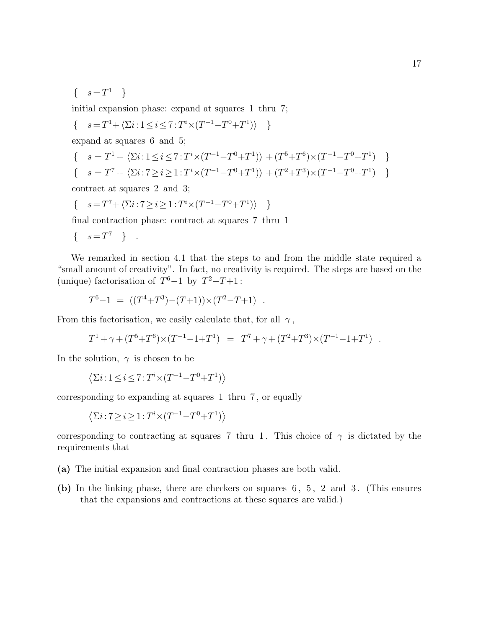$\{ s = T^1 \}$ 

initial expansion phase: expand at squares 1 thru 7;

$$
\{ \quad s = T^1 + \langle \Sigma i : 1 \le i \le 7 : T^i \times (T^{-1} - T^0 + T^1) \rangle \quad \}
$$

expand at squares 6 and 5;

$$
\{ \quad s = T^1 + \langle \Sigma i : 1 \le i \le 7 : T^i \times (T^{-1} - T^0 + T^1) \rangle + (T^5 + T^6) \times (T^{-1} - T^0 + T^1) \} \}
$$
\n
$$
\{ \quad s = T^7 + \langle \Sigma i : 7 \ge i \ge 1 : T^i \times (T^{-1} - T^0 + T^1) \rangle + (T^2 + T^3) \times (T^{-1} - T^0 + T^1) \} \}
$$

contract at squares 2 and 3;

$$
\{ \quad s = T^7 + \langle \Sigma i : 7 \ge i \ge 1 : T^i \times (T^{-1} - T^0 + T^1) \rangle \quad \}
$$

final contraction phase: contract at squares 7 thru 1

$$
\left\{ \quad s = T^7 \quad \right\} \quad .
$$

We remarked in section 4.1 that the steps to and from the middle state required a "small amount of creativity". In fact, no creativity is required. The steps are based on the (unique) factorisation of  $T^6-1$  by  $T^2-T+1$ :

$$
T^6 - 1 = ((T^4 + T^3) - (T + 1)) \times (T^2 - T + 1) .
$$

From this factorisation, we easily calculate that, for all  $\gamma$ ,

$$
T^1 + \gamma + (T^5 + T^6) \times (T^{-1} - 1 + T^1) \ = \ T^7 + \gamma + (T^2 + T^3) \times (T^{-1} - 1 + T^1) \quad .
$$

In the solution,  $\gamma$  is chosen to be

$$
\left\langle \Sigma i\!:\!1\!\leq\! i\!\leq\!7\!:\!T^i\!\times\!(T^{-1}\!-\!T^0\!+\!T^1)\right\rangle
$$

corresponding to expanding at squares 1 thru 7 , or equally

$$
\left\langle \Sigma i \colon\! 7\!\geq\! i\!\geq\! 1 \!:\! T^i\!\times\! (T^{-1}\!-\!T^0\!+\!T^1)\right\rangle
$$

corresponding to contracting at squares 7 thru 1. This choice of  $\gamma$  is dictated by the requirements that

- (a) The initial expansion and final contraction phases are both valid.
- (b) In the linking phase, there are checkers on squares 6 , 5 , 2 and 3 . (This ensures that the expansions and contractions at these squares are valid.)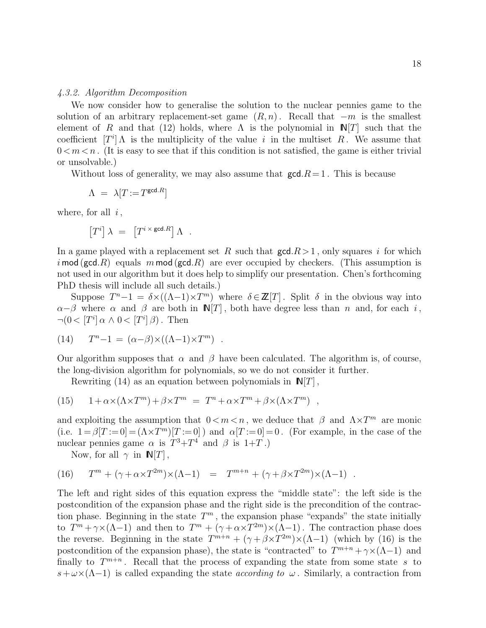#### 4.3.2. Algorithm Decomposition

We now consider how to generalise the solution to the nuclear pennies game to the solution of an arbitrary replacement-set game  $(R, n)$ . Recall that  $-m$  is the smallest element of R and that (12) holds, where  $\Lambda$  is the polynomial in  $\mathbb{N}[T]$  such that the coefficient  $[T^i] \Lambda$  is the multiplicity of the value i in the multiset R. We assume that  $0 \leq m \leq n$ . (It is easy to see that if this condition is not satisfied, the game is either trivial or unsolvable.)

Without loss of generality, we may also assume that  $gcd.R = 1$ . This is because

$$
\Lambda = \lambda[T := T^{\gcd.R}]
$$

where, for all  $i$ ,

$$
\left[T^i\right]\lambda\ =\ \left[T^{i\;\times\;\mathrm{gcd}.R}\right]\Lambda\enspace.
$$

In a game played with a replacement set R such that  $gcd.R > 1$ , only squares i for which imod (gcd.R) equals m mod (gcd.R) are ever occupied by checkers. (This assumption is not used in our algorithm but it does help to simplify our presentation. Chen's forthcoming PhD thesis will include all such details.)

Suppose  $T^{n}-1 = \delta \times ((\Lambda -1) \times T^{m})$  where  $\delta \in \mathbb{Z}[T]$ . Split  $\delta$  in the obvious way into  $\alpha-\beta$  where  $\alpha$  and  $\beta$  are both in  $\mathbb{N}[T]$ , both have degree less than n and, for each i,  $\neg(0 < [T^i] \alpha \wedge 0 < [T^i] \beta)$ . Then

(14) 
$$
T^{n}-1 = (\alpha - \beta) \times ((\Lambda - 1) \times T^{m}) .
$$

Our algorithm supposes that  $\alpha$  and  $\beta$  have been calculated. The algorithm is, of course, the long-division algorithm for polynomials, so we do not consider it further.

Rewriting (14) as an equation between polynomials in  $\mathbb{N}[T]$ ,

(15) 
$$
1 + \alpha \times (\Lambda \times T^m) + \beta \times T^m = T^n + \alpha \times T^m + \beta \times (\Lambda \times T^m) ,
$$

and exploiting the assumption that  $0 < m < n$ , we deduce that  $\beta$  and  $\Lambda \times T^m$  are monic (i.e.  $1 = \beta[T := 0] = (\Lambda \times T^m)[T := 0]$ ) and  $\alpha[T := 0] = 0$ . (For example, in the case of the nuclear pennies game  $\alpha$  is  $T^3+T^4$  and  $\beta$  is  $1+T$ .)

Now, for all  $\gamma$  in  $\mathbb{N}[T]$ ,

(16) 
$$
T^m + (\gamma + \alpha \times T^{2m}) \times (\Lambda - 1) = T^{m+n} + (\gamma + \beta \times T^{2m}) \times (\Lambda - 1) .
$$

The left and right sides of this equation express the "middle state": the left side is the postcondition of the expansion phase and the right side is the precondition of the contraction phase. Beginning in the state  $T<sup>m</sup>$ , the expansion phase "expands" the state initially to  $T^m + \gamma \times (\Lambda - 1)$  and then to  $T^m + (\gamma + \alpha \times T^{2m}) \times (\Lambda - 1)$ . The contraction phase does the reverse. Beginning in the state  $T^{m+n} + (\gamma + \beta \times T^{2m}) \times (\Lambda - 1)$  (which by (16) is the postcondition of the expansion phase), the state is "contracted" to  $T^{m+n} + \gamma \times (\Lambda - 1)$  and finally to  $T^{m+n}$ . Recall that the process of expanding the state from some state s to  $s+\omega\times(\Lambda-1)$  is called expanding the state *according to*  $\omega$ . Similarly, a contraction from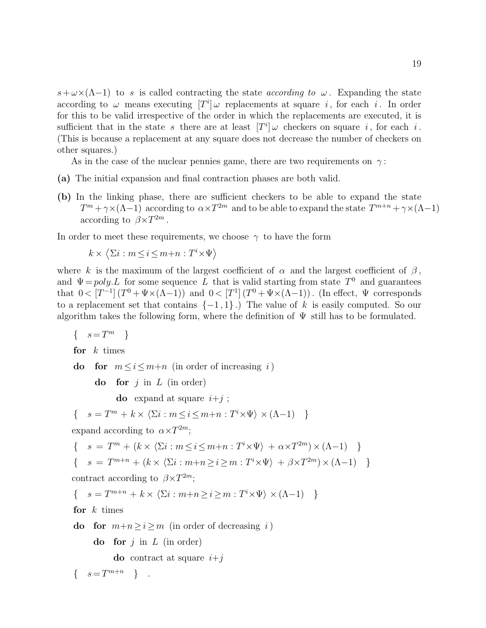s+ $\omega \times (\Lambda - 1)$  to s is called contracting the state *according to*  $\omega$ . Expanding the state according to  $\omega$  means executing  $[T^i] \omega$  replacements at square i, for each i. In order for this to be valid irrespective of the order in which the replacements are executed, it is sufficient that in the state s there are at least  $[T<sup>i</sup>] \omega$  checkers on square i, for each i. (This is because a replacement at any square does not decrease the number of checkers on other squares.)

As in the case of the nuclear pennies game, there are two requirements on  $\gamma$ :

- (a) The initial expansion and final contraction phases are both valid.
- (b) In the linking phase, there are sufficient checkers to be able to expand the state  $T^m + \gamma \times (\Lambda - 1)$  according to  $\alpha \times T^{2m}$  and to be able to expand the state  $T^{m+n} + \gamma \times (\Lambda - 1)$ according to  $\beta \times T^{2m}$ .

In order to meet these requirements, we choose  $\gamma$  to have the form

$$
k \times \langle \Sigma i : m \le i \le m+n : T^i \times \Psi \rangle
$$

where k is the maximum of the largest coefficient of  $\alpha$  and the largest coefficient of  $\beta$ , and  $\Psi = poly.L$  for some sequence L that is valid starting from state  $T^0$  and guarantees that  $0 < [T^{-1}](T^0 + \Psi \times (\Lambda - 1))$  and  $0 < [T^1](T^0 + \Psi \times (\Lambda - 1))$ . (In effect,  $\Psi$  corresponds to a replacement set that contains  $\{-1,1\}$ .) The value of k is easily computed. So our algorithm takes the following form, where the definition of  $\Psi$  still has to be formulated.

 $\{ s = T^m \}$ 

for  $k$  times

do for  $m \leq i \leq m+n$  (in order of increasing i)

do for  $j$  in  $L$  (in order)

**do** expand at square  $i+j$ ;

 $\{ \quad s = T^m + k \times \langle \Sigma i : m \leq i \leq m+n : T^i \times \Psi \rangle \times (\Lambda - 1) \quad \}$ 

expand according to  $\alpha \times T^{2m}$ ;

$$
\{ \quad s = T^m + (k \times \langle \Sigma i : m \le i \le m+n : T^i \times \Psi \rangle + \alpha \times T^{2m}) \times (\Lambda - 1) \quad \}
$$

$$
\{ \quad s = T^{m+n} + (k \times \langle \Sigma i : m+n \ge i \ge m : T^i \times \Psi \rangle + \beta \times T^{2m}) \times (\Lambda - 1) \quad \}
$$

contract according to  $\beta \times T^{2m}$ ;

$$
\{ \quad s = T^{m+n} + k \times \langle \Sigma i : m+n \ge i \ge m : T^i \times \Psi \rangle \times (\Lambda - 1) \quad \}
$$

for  $k$  times

**do** for  $m+n\geq i\geq m$  (in order of decreasing i)

do for  $i$  in  $L$  (in order)

**do** contract at square  $i+j$ 

$$
\left\{ \quad s\!=\!T^{m+n}\quad \right\} \quad .
$$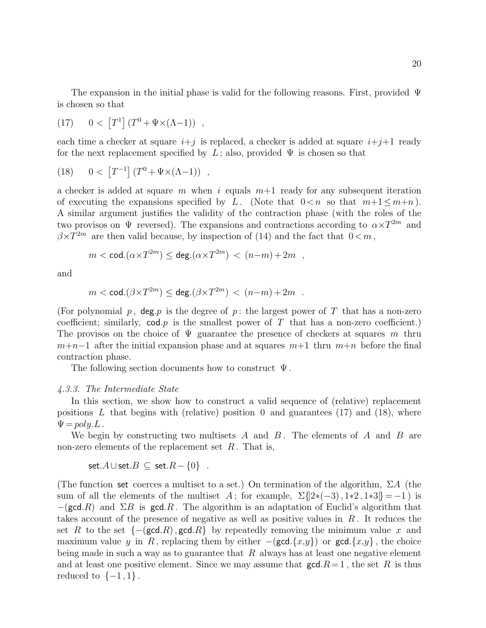The expansion in the initial phase is valid for the following reasons. First, provided  $\Psi$ is chosen so that

(17) 
$$
0 < [T^1] (T^0 + \Psi \times (\Lambda - 1)) ,
$$

each time a checker at square  $i+j$  is replaced, a checker is added at square  $i+j+1$  ready for the next replacement specified by L; also, provided  $\Psi$  is chosen so that

(18) 
$$
0 < [T^{-1}](T^0 + \Psi \times (\Lambda - 1)) ,
$$

a checker is added at square m when i equals  $m+1$  ready for any subsequent iteration of executing the expansions specified by L. (Note that  $0 \leq n$  so that  $m+1 \leq m+n$ ). A similar argument justifies the validity of the contraction phase (with the roles of the two provisos on  $\Psi$  reversed). The expansions and contractions according to  $\alpha \times T^{2m}$  and  $\beta \times T^{2m}$  are then valid because, by inspection of (14) and the fact that  $0 \lt m$ ,

$$
m < \operatorname{cod.}(\alpha \times T^{2m}) \leq \deg.(\alpha \times T^{2m}) \; < \; (n-m) + 2m \;\;,
$$

and

$$
m < \operatorname{cod.} (\beta {\times} T^{2m}) \leq \deg. (\beta {\times} T^{2m}) < (n-m) + 2m \enspace .
$$

(For polynomial p,  $\deg p$  is the degree of p: the largest power of T that has a non-zero coefficient; similarly,  $\cot p$  is the smallest power of T that has a non-zero coefficient.) The provisos on the choice of  $\Psi$  guarantee the presence of checkers at squares m thru  $m+n-1$  after the initial expansion phase and at squares  $m+1$  thru  $m+n$  before the final contraction phase.

The following section documents how to construct  $\Psi$ .

#### 4.3.3. The Intermediate State

In this section, we show how to construct a valid sequence of (relative) replacement positions L that begins with (relative) position 0 and guarantees  $(17)$  and  $(18)$ , where  $\Psi = poly.L$ .

We begin by constructing two multisets  $A$  and  $B$ . The elements of  $A$  and  $B$  are non-zero elements of the replacement set  $R$ . That is,

$$
\mathsf{set}.A \cup \mathsf{set}.B \subseteq \mathsf{set}.R - \{0\} .
$$

(The function set coerces a multiset to a set.) On termination of the algorithm,  $\Sigma A$  (the sum of all the elements of the multiset A; for example,  $\Sigma$ {|2\*(-3), 1\*2, 1\*3|}=-1) is  $-(\text{gcd}.R)$  and  $\Sigma B$  is  $\text{gcd}.R$ . The algorithm is an adaptation of Euclid's algorithm that takes account of the presence of negative as well as positive values in  $R$ . It reduces the set R to the set  ${-(\text{gcd}.R), \text{gcd}.R}$  by repeatedly removing the minimum value x and maximum value y in R, replacing them by either  $-(\gcd\{x,y\})$  or  $\gcd\{x,y\}$ , the choice being made in such a way as to guarantee that  $R$  always has at least one negative element and at least one positive element. Since we may assume that  $gcd.R = 1$ , the set R is thus reduced to  $\{-1,1\}$ .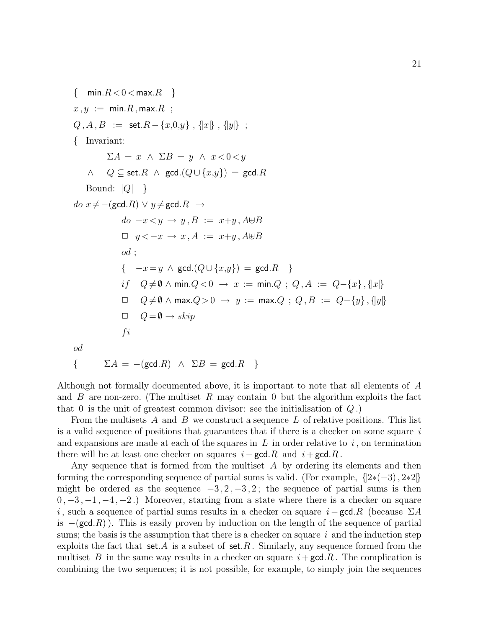$\{$  min.  $R < 0 <$  max.  $R$   $\}$  $x, y := min.R, max.R$ ;  $Q, A, B := \text{set}.R - \{x, 0, y\}, \{||x||, ||y||\};$ { Invariant:  $\Sigma A = x \land \Sigma B = y \land x < 0 < y$  $\wedge$  Q ⊂ set.R  $\wedge$  gcd. $(Q \cup \{x,y\}) =$  gcd.R Bound:  $|Q|$  }  $do x \neq -(gcd.R) \lor y \neq gcd.R \rightarrow$  $do -x < y \rightarrow y, B := x+y, A \oplus B$  $\Box$   $y \leq -x \rightarrow x \cdot A := x+y \cdot A \oplus B$ od ;  $\{-x=y \wedge \gcd(Q \cup \{x,y\}) = \gcd(R) \}$ if  $Q \neq \emptyset$  ∧ min. $Q < 0$  →  $x := min.Q$ ;  $Q, A := Q - \{x\}, \{x\}$  $\Box$   $Q \neq \emptyset \land \text{max}.Q > 0 \rightarrow y := \text{max}.Q$ ;  $Q, B := Q - \{y\}, \{y\}$  $\Box$   $Q = \emptyset \rightarrow skip$  $fi$ 

od

{  $\Sigma A = -(\text{gcd}.R) \wedge \Sigma B = \text{gcd}.R$  }

Although not formally documented above, it is important to note that all elements of A and  $B$  are non-zero. (The multiset  $R$  may contain 0 but the algorithm exploits the fact that 0 is the unit of greatest common divisor: see the initialisation of  $Q$ .)

From the multisets A and B we construct a sequence L of relative positions. This list is a valid sequence of positions that guarantees that if there is a checker on some square i and expansions are made at each of the squares in  $L$  in order relative to  $i$ , on termination there will be at least one checker on squares  $i - \text{gcd}.R$  and  $i + \text{gcd}.R$ .

Any sequence that is formed from the multiset A by ordering its elements and then forming the corresponding sequence of partial sums is valid. (For example, {|2∗(−3), 2∗2|} might be ordered as the sequence  $-3, 2, -3, 2$ ; the sequence of partial sums is then  $0, -3, -1, -4, -2$ .) Moreover, starting from a state where there is a checker on square i, such a sequence of partial sums results in a checker on square  $i-\text{gcd}.R$  (because  $\Sigma A$ is  $-(\gcd R)$ ). This is easily proven by induction on the length of the sequence of partial sums; the basis is the assumption that there is a checker on square  $i$  and the induction step exploits the fact that set.A is a subset of set.R. Similarly, any sequence formed from the multiset B in the same way results in a checker on square  $i+gcd.R$ . The complication is combining the two sequences; it is not possible, for example, to simply join the sequences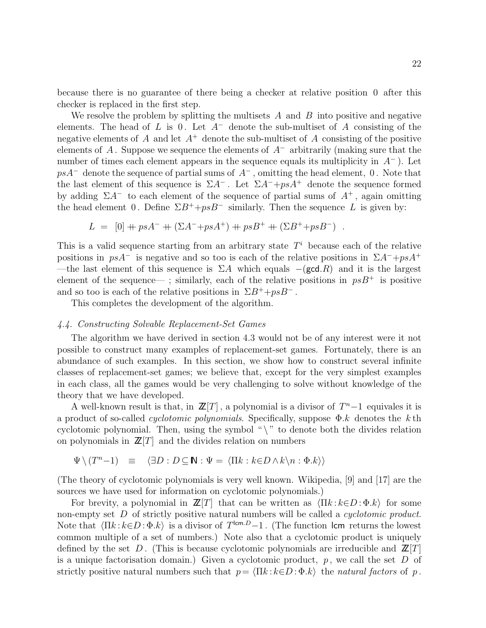because there is no guarantee of there being a checker at relative position 0 after this checker is replaced in the first step.

We resolve the problem by splitting the multisets  $A$  and  $B$  into positive and negative elements. The head of L is 0. Let  $A^-$  denote the sub-multiset of A consisting of the negative elements of A and let  $A^+$  denote the sub-multiset of A consisting of the positive elements of A. Suppose we sequence the elements of  $A^-$  arbitrarily (making sure that the number of times each element appears in the sequence equals its multiplicity in  $A^-$ ). Let  $p\bar{s}A^{-}$  denote the sequence of partial sums of  $A^{-}$ , omitting the head element, 0. Note that the last element of this sequence is  $\Sigma A^-$ . Let  $\Sigma A^-+psA^+$  denote the sequence formed by adding  $\Sigma A^-$  to each element of the sequence of partial sums of  $A^+$ , again omitting the head element 0. Define  $\Sigma B^+ + psB^-$  similarly. Then the sequence L is given by:

$$
L = [0] + psA^{-} + (\Sigma A^{-} + psA^{+}) + psB^{+} + (\Sigma B^{+} + psB^{-}) .
$$

This is a valid sequence starting from an arbitrary state  $T<sup>i</sup>$  because each of the relative positions in  $psA^-$  is negative and so too is each of the relative positions in  $\Sigma A^-+psA^+$ —the last element of this sequence is  $\Sigma A$  which equals  $-(\gcd R)$  and it is the largest element of the sequence—; similarly, each of the relative positions in  $psB^+$  is positive and so too is each of the relative positions in  $\Sigma B^+ + ps B^-$ .

This completes the development of the algorithm.

## 4.4. Constructing Solvable Replacement-Set Games

The algorithm we have derived in section 4.3 would not be of any interest were it not possible to construct many examples of replacement-set games. Fortunately, there is an abundance of such examples. In this section, we show how to construct several infinite classes of replacement-set games; we believe that, except for the very simplest examples in each class, all the games would be very challenging to solve without knowledge of the theory that we have developed.

A well-known result is that, in  $\mathbb{Z}[T]$ , a polynomial is a divisor of  $T^{n}-1$  equivales it is a product of so-called *cyclotomic polynomials*. Specifically, suppose  $\Phi$ .k denotes the k th cyclotomic polynomial. Then, using the symbol " $\backslash$ " to denote both the divides relation on polynomials in  $\mathbb{Z}[T]$  and the divides relation on numbers

$$
\Psi \setminus (T^n - 1) \equiv \langle \exists D : D \subseteq \mathbb{N} : \Psi = \langle \Pi k : k \in D \wedge k \rangle n : \Phi \cdot k \rangle
$$

(The theory of cyclotomic polynomials is very well known. Wikipedia, [9] and [17] are the sources we have used for information on cyclotomic polynomials.)

For brevity, a polynomial in  $\mathbb{Z}[T]$  that can be written as  $\langle \Pi k : k \in D : \Phi. k \rangle$  for some non-empty set D of strictly positive natural numbers will be called a *cyclotomic product*. Note that  $\langle \Pi k : k \in D : \Phi. k \rangle$  is a divisor of  $T^{lcm.D}-1$ . (The function lcm returns the lowest common multiple of a set of numbers.) Note also that a cyclotomic product is uniquely defined by the set D. (This is because cyclotomic polynomials are irreducible and  $\mathbb{Z}[T]$ is a unique factorisation domain.) Given a cyclotomic product,  $p$ , we call the set D of strictly positive natural numbers such that  $p = \langle \Pi k : k \in D : \Phi \cdot k \rangle$  the natural factors of p.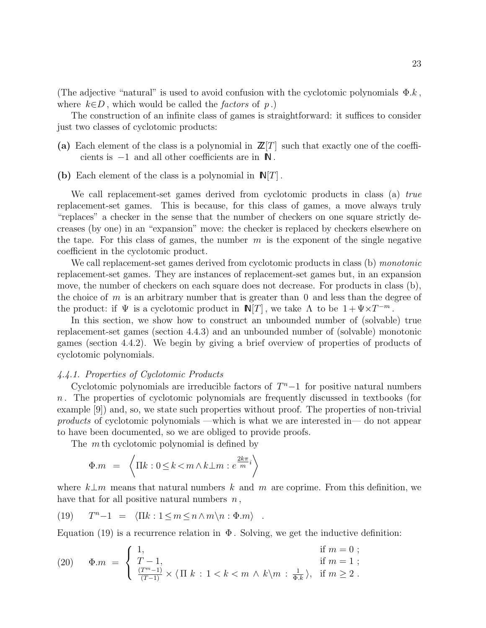(The adjective "natural" is used to avoid confusion with the cyclotomic polynomials  $\Phi.k$ , where  $k\in D$ , which would be called the *factors* of p.)

The construction of an infinite class of games is straightforward: it suffices to consider just two classes of cyclotomic products:

- (a) Each element of the class is a polynomial in  $\mathbb{Z}[T]$  such that exactly one of the coefficients is  $-1$  and all other coefficients are in  $\mathbb N$ .
- (b) Each element of the class is a polynomial in  $\mathbb{N}[T]$ .

We call replacement-set games derived from cyclotomic products in class (a) true replacement-set games. This is because, for this class of games, a move always truly "replaces" a checker in the sense that the number of checkers on one square strictly decreases (by one) in an "expansion" move: the checker is replaced by checkers elsewhere on the tape. For this class of games, the number  $m$  is the exponent of the single negative coefficient in the cyclotomic product.

We call replacement-set games derived from cyclotomic products in class (b) monotonic replacement-set games. They are instances of replacement-set games but, in an expansion move, the number of checkers on each square does not decrease. For products in class (b), the choice of  $m$  is an arbitrary number that is greater than 0 and less than the degree of the product: if  $\Psi$  is a cyclotomic product in  $\mathbb{N}[T]$ , we take  $\Lambda$  to be  $1 + \Psi \times T^{-m}$ .

In this section, we show how to construct an unbounded number of (solvable) true replacement-set games (section 4.4.3) and an unbounded number of (solvable) monotonic games (section 4.4.2). We begin by giving a brief overview of properties of products of cyclotomic polynomials.

## 4.4.1. Properties of Cyclotomic Products

Cyclotomic polynomials are irreducible factors of  $T<sup>n</sup> - 1$  for positive natural numbers n . The properties of cyclotomic polynomials are frequently discussed in textbooks (for example [9]) and, so, we state such properties without proof. The properties of non-trivial products of cyclotomic polynomials —which is what we are interested in— do not appear to have been documented, so we are obliged to provide proofs.

The  $m$  th cyclotomic polynomial is defined by

$$
\Phi.m = \left\langle \Pi k : 0 \le k < m \wedge k \perp m : e^{\frac{2k\pi}{m}i} \right\rangle
$$

where  $k\perp m$  means that natural numbers k and m are coprime. From this definition, we have that for all positive natural numbers  $n$ ,

(19) 
$$
T^{n}-1 = \langle \Pi k : 1 \leq m \leq n \wedge m \rangle n : \Phi.m \rangle .
$$

Equation (19) is a recurrence relation in  $\Phi$ . Solving, we get the inductive definition:

(20) 
$$
\Phi.m = \begin{cases} 1, & \text{if } m = 0 ; \\ T - 1, & \text{if } m = 1 ; \\ \frac{(T^m - 1)}{(T - 1)} \times \langle \Pi \, k : 1 < k < m \land k \backslash m : \frac{1}{\Phi \cdot k} \rangle, & \text{if } m \ge 2 . \end{cases}
$$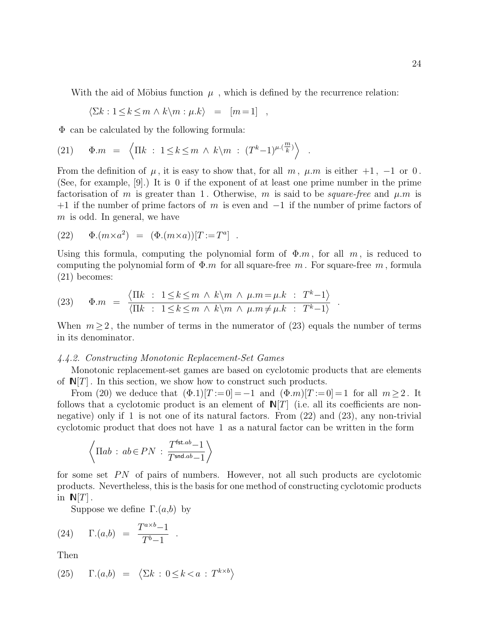With the aid of Möbius function  $\mu$ , which is defined by the recurrence relation:

$$
\langle \Sigma k : 1 \le k \le m \wedge k \rangle m : \mu.k \rangle = [m=1],
$$

Φ can be calculated by the following formula:

(21) 
$$
\Phi.m = \left\langle \Pi k : 1 \leq k \leq m \wedge k \setminus m : (T^k - 1)^{\mu \cdot (\frac{m}{k})} \right\rangle .
$$

From the definition of  $\mu$ , it is easy to show that, for all m,  $\mu$ .m is either  $+1$ ,  $-1$  or 0. (See, for example, [9].) It is 0 if the exponent of at least one prime number in the prime factorisation of m is greater than 1. Otherwise, m is said to be *square-free* and  $\mu$ m is  $+1$  if the number of prime factors of m is even and  $-1$  if the number of prime factors of  $m$  is odd. In general, we have

(22) 
$$
\Phi.(m \times a^2) = (\Phi.(m \times a))[T := T^a]
$$
.

Using this formula, computing the polynomial form of  $\Phi.m$ , for all m, is reduced to computing the polynomial form of  $\Phi.m$  for all square-free m. For square-free m, formula (21) becomes:

(23) 
$$
\Phi.m = \frac{\langle \Pi k : 1 \leq k \leq m \land k \rangle m \land \mu.m = \mu.k : T^k - 1 \rangle}{\langle \Pi k : 1 \leq k \leq m \land k \rangle m \land \mu.m \neq \mu.k : T^k - 1 \rangle}.
$$

When  $m \geq 2$ , the number of terms in the numerator of (23) equals the number of terms in its denominator.

#### 4.4.2. Constructing Monotonic Replacement-Set Games

Monotonic replacement-set games are based on cyclotomic products that are elements of  $\mathbb{N}[T]$ . In this section, we show how to construct such products.

From (20) we deduce that  $(\Phi.1)|T := 0| = -1$  and  $(\Phi.m)|T := 0| = 1$  for all  $m > 2$ . It follows that a cyclotomic product is an element of  $N[T]$  (i.e. all its coefficients are nonnegative) only if 1 is not one of its natural factors. From (22) and (23), any non-trivial cyclotomic product that does not have 1 as a natural factor can be written in the form

$$
\left\langle \Pi ab \,:\, ab\!\in\!PN \,:\, \frac{T^{\text{fst}.ab}\!-\!1}{T^{\text{snd}.ab}\!-\!1} \right\rangle
$$

for some set  $PN$  of pairs of numbers. However, not all such products are cyclotomic products. Nevertheless, this is the basis for one method of constructing cyclotomic products in  $\mathbb{N}[T]$ .

Suppose we define  $\Gamma(a,b)$  by

(24) 
$$
\Gamma.(a,b) = \frac{T^{a \times b} - 1}{T^b - 1}
$$
.

Then

(25) 
$$
\Gamma.(a,b) = \langle \Sigma k : 0 \le k < a : T^{k \times b} \rangle
$$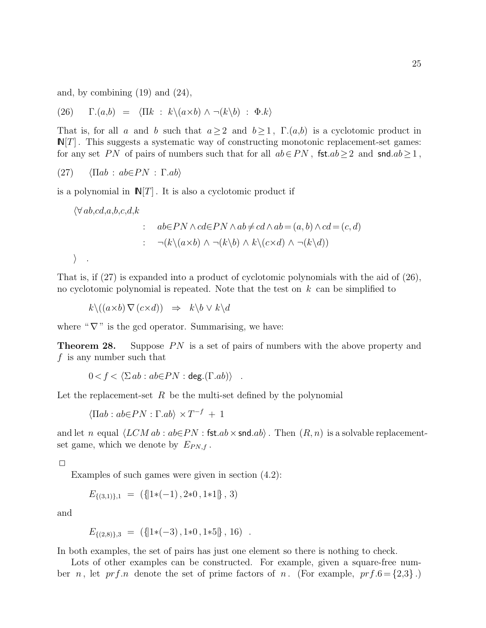and, by combining  $(19)$  and  $(24)$ ,

(26) 
$$
\Gamma.(a,b) = \langle \Pi k : k \setminus (a \times b) \land \neg(k \setminus b) : \Phi.k \rangle
$$

That is, for all a and b such that  $a \geq 2$  and  $b \geq 1$ ,  $\Gamma(a,b)$  is a cyclotomic product in  $\mathbb{N}[T]$ . This suggests a systematic way of constructing monotonic replacement-set games: for any set PN of pairs of numbers such that for all  $ab \in PN$ , fst. $ab > 2$  and snd. $ab > 1$ ,

$$
(27) \qquad \langle \Pi ab : ab \in PN : \Gamma ab \rangle
$$

is a polynomial in  $\mathbb{N}[T]$ . It is also a cyclotomic product if

$$
\langle \forall ab, cd, a, b, c, d, k
$$
  
\n
$$
\therefore ab \in PN \land cd \in PN \land ab \neq cd \land ab = (a, b) \land cd = (c, d)
$$
  
\n
$$
\therefore \neg(k \setminus (a \times b) \land \neg(k \setminus b) \land k \setminus (c \times d) \land \neg(k \setminus d))
$$

That is, if (27) is expanded into a product of cyclotomic polynomials with the aid of (26), no cyclotomic polynomial is repeated. Note that the test on  $k$  can be simplified to

 $k\setminus((a\times b)\nabla(c\times d)) \Rightarrow k\setminus b\vee k\setminus d$ 

where " $\nabla$ " is the gcd operator. Summarising, we have:

**Theorem 28.** Suppose  $PN$  is a set of pairs of numbers with the above property and f is any number such that

 $0 < f < \langle \Sigma ab : ab \in PN : \text{deg.}(\Gamma.ab) \rangle$  .

Let the replacement-set  $R$  be the multi-set defined by the polynomial

 $\langle \Pi ab : ab \in PN : \Gamma ab \rangle \times T^{-f} + 1$ 

and let n equal  $\langle LCM \, ab : ab \in PN : \text{fst}.ab \times \text{snd}.ab \rangle$ . Then  $(R, n)$  is a solvable replacementset game, which we denote by  $E_{PN,f}$ .

 $\Box$ 

Examples of such games were given in section (4.2):

 $E_{\{(3,1)\},1} = (\{1*(-1), 2*0, 1*1\}, 3)$ 

and

$$
E_{\{(2,8)\},3} = (\{1*(-3),1*0,1*5\},16) .
$$

In both examples, the set of pairs has just one element so there is nothing to check.

Lots of other examples can be constructed. For example, given a square-free number n, let  $prf.n$  denote the set of prime factors of n. (For example,  $prf.6 = \{2,3\}$ .)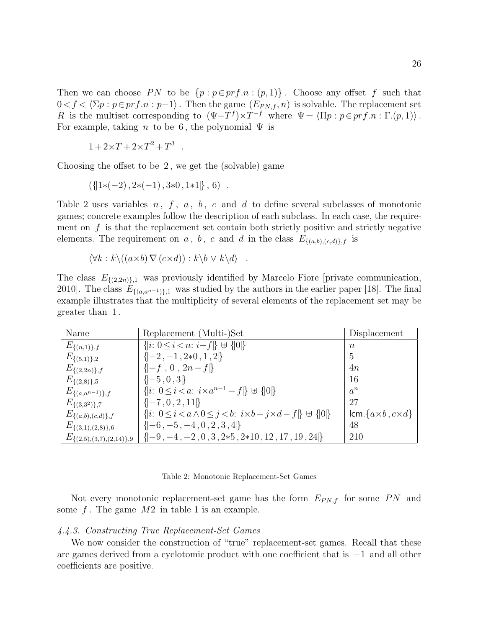Then we can choose PN to be  $\{p : p \in prf.n : (p, 1)\}\$ . Choose any offset f such that  $0 < f < \langle \Sigma p : p \in prf.n : p-1 \rangle$ . Then the game  $(E_{PN,f}, n)$  is solvable. The replacement set R is the multiset corresponding to  $(\Psi + T^f) \times T^{-f}$  where  $\Psi = \langle \Pi p : p \in prf.n : \Gamma.(p, 1) \rangle$ . For example, taking n to be 6, the polynomial  $\Psi$  is

$$
1 + 2 \times T + 2 \times T^2 + T^3
$$

Choosing the offset to be 2 , we get the (solvable) game

.

$$
(\{1*(-2), 2*(-1), 3*0, 1*1\}, 6) .
$$

Table 2 uses variables  $n, f, a, b, c$  and d to define several subclasses of monotonic games; concrete examples follow the description of each subclass. In each case, the requirement on  $f$  is that the replacement set contain both strictly positive and strictly negative elements. The requirement on a, b, c and d in the class  $E_{\{(a,b),(c,d)\},f}$  is

$$
\langle \forall k : k \rangle ((a \times b) \nabla (c \times d)) : k \backslash b \vee k \backslash d \rangle .
$$

The class  $E_{\{(2,2n)\},1}$  was previously identified by Marcelo Fiore [private communication, 2010]. The class  $E_{\{(a,a^{n-1})\},\{1\}}$  was studied by the authors in the earlier paper [18]. The final example illustrates that the multiplicity of several elements of the replacement set may be greater than 1 .

| Name                           | Replacement (Multi-)Set                                                                 | Displacement                           |
|--------------------------------|-----------------------------------------------------------------------------------------|----------------------------------------|
| $E_{\{(n,1)\},f}$              | $\{  i: 0 \le i < n : i-f  \} \trianglerighteq \{  0  \}$                               | $\,n$                                  |
| $E_{\{(5,1)\},2}$              | $\{-2, -1, 2*0, 1, 2\}$                                                                 | 5                                      |
| $E_{\{(2,2n)\},f}$             | $\{-f, 0, 2n - f\}$                                                                     | 4n                                     |
| $E_{\{(2,8)\},5}$              | $\{-5, 0, 3\}$                                                                          | 16                                     |
| $E_{\{(a,a^{n-1})\},f}$        | $\{  i: 0 \le i < a: i \times a^{n-1} - f  \} \uplus \{  0  \}$                         | $a^n$                                  |
| $E_{\{(3,3^2)\},7}$            | $\{-7, 0, 2, 11\}$                                                                      | 27                                     |
| $E_{\{(a,b),(c,d)\},f}$        | $\{  i: 0 \le i < a \land 0 \le j < b : i \times b + j \times d - f  \} \cup \{  0  \}$ | $lcm.$ { $a \times b$ , $c \times d$ } |
| $E_{\{(3,1),(2,8)\},6}$        | $\{-6, -5, -4, 0, 2, 3, 4\}$                                                            | 48                                     |
| $E_{\{(2,5),(3,7),(2,14)\},9}$ | $\{-9, -4, -2, 0, 3, 2*5, 2*10, 12, 17, 19, 24\}$                                       | 210                                    |

#### Table 2: Monotonic Replacement-Set Games

Not every monotonic replacement-set game has the form  $E_{PN,f}$  for some PN and some  $f$ . The game  $M2$  in table 1 is an example.

# 4.4.3. Constructing True Replacement-Set Games

We now consider the construction of "true" replacement-set games. Recall that these are games derived from a cyclotomic product with one coefficient that is −1 and all other coefficients are positive.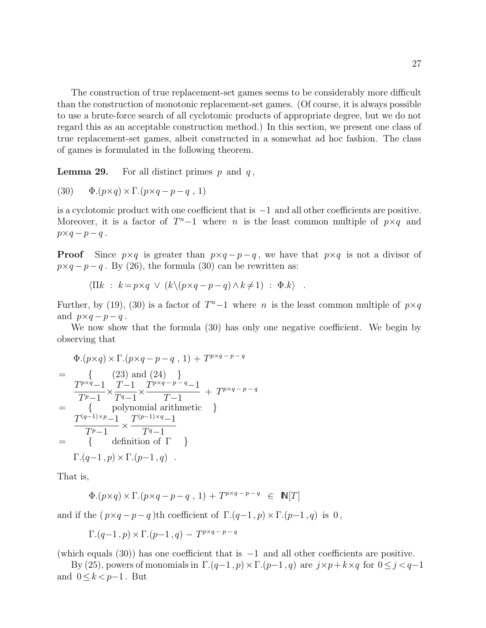The construction of true replacement-set games seems to be considerably more difficult than the construction of monotonic replacement-set games. (Of course, it is always possible to use a brute-force search of all cyclotomic products of appropriate degree, but we do not regard this as an acceptable construction method.) In this section, we present one class of true replacement-set games, albeit constructed in a somewhat ad hoc fashion. The class of games is formulated in the following theorem.

**Lemma 29.** For all distinct primes  $p$  and  $q$ ,

(30) 
$$
\Phi.(p \times q) \times \Gamma.(p \times q - p - q , 1)
$$

is a cyclotomic product with one coefficient that is −1 and all other coefficients are positive. Moreover, it is a factor of  $T<sup>n</sup>-1$  where *n* is the least common multiple of  $p \times q$  and  $p \times q - p - q$ .

**Proof** Since  $p \times q$  is greater than  $p \times q - p - q$ , we have that  $p \times q$  is not a divisor of  $p \times q - p - q$ . By (26), the formula (30) can be rewritten as:

$$
\langle \Pi k : k = p \times q \vee (k \setminus (p \times q - p - q) \wedge k \neq 1) : \Phi \cdot k \rangle .
$$

Further, by (19), (30) is a factor of  $T<sup>n</sup>-1$  where *n* is the least common multiple of  $p \times q$ and  $p \times q - p - q$ .

We now show that the formula (30) has only one negative coefficient. We begin by observing that

$$
\Phi.(p \times q) \times \Gamma.(p \times q - p - q , 1) + T^{p \times q - p - q}
$$
\n
$$
= \begin{cases}\n(23) \text{ and } (24) \\
T^{p \times q} - 1 \times T^{-1} \times T^{p \times q - p - q} - 1 \\
T^{p-1} \times T^{q-1} \times T^{-1} + T^{p \times q - p - q} \\
\{\text{polynomial arithmetic }\} \\
T^{(q-1) \times p} - 1 \times T^{(p-1) \times q} - 1 \\
T^{p-1} \times T^{q-1} \\
T^{q-1} \\
\{\text{definition of } \Gamma\}\n\end{cases}
$$
\n
$$
= \begin{cases}\nT^{(q-1)} \times p - 1 \\
\{\text{definition of } \Gamma\} \\
\Gamma \cdot (q - 1, p) \times \Gamma \cdot (p - 1, q)\n\end{cases}
$$

That is,

$$
\Phi.(p\times q)\times \Gamma.(p\times q-p-q~,~1)~+~T^{p\times q~-~p~-~q}~~\in~~\mathbb{N}[T]
$$

and if the  $(p \times q - p - q)$ th coefficient of  $\Gamma(q-1, p) \times \Gamma(q-1, q)$  is 0,

$$
\Gamma.(q-1,p) \times \Gamma.(p-1,q) - T^{p \times q-p-q}
$$

(which equals (30)) has one coefficient that is  $-1$  and all other coefficients are positive.

By (25), powers of monomials in  $\Gamma$ . $(q-1, p) \times \Gamma$ . $(p-1, q)$  are  $j \times p + k \times q$  for  $0 \le j < q-1$ and  $0 \leq k \leq p-1$ . But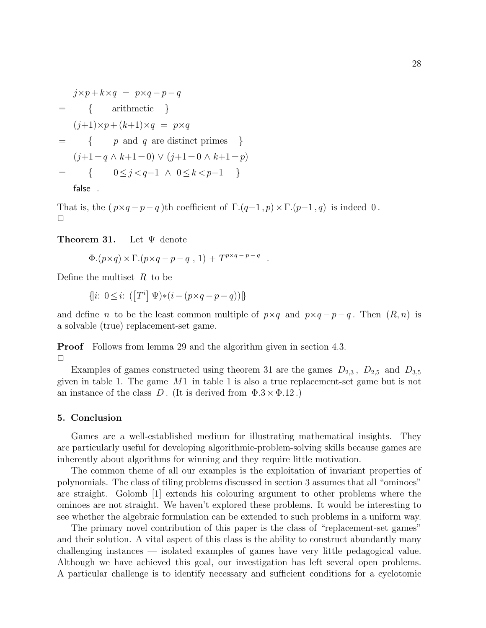$$
j \times p + k \times q = p \times q - p - q
$$
  
= { arithmetic }  

$$
(j+1) \times p + (k+1) \times q = p \times q
$$
  
= { p and q are distinct primes }  

$$
(j+1=q \land k+1=0) \lor (j+1=0 \land k+1=p)
$$
  
= {  $0 \le j < q-1 \land 0 \le k < p-1$  }  
false .

That is, the  $(p \times q - p - q)$ th coefficient of  $\Gamma(q-1, p) \times \Gamma(q-1, q)$  is indeed 0.  $\Box$ 

**Theorem 31.** Let  $\Psi$  denote

$$
\Phi.(p \times q) \times \Gamma.(p \times q - p - q , 1) + T^{p \times q - p - q} .
$$

Define the multiset  $R$  to be

 $\{ |i: 0 \leq i: (\lceil T^i \rceil \Psi) * (i - (p \times q - p - q)) | \}$ 

and define *n* to be the least common multiple of  $p \times q$  and  $p \times q - p - q$ . Then  $(R, n)$  is a solvable (true) replacement-set game.

Proof Follows from lemma 29 and the algorithm given in section 4.3.  $\Box$ 

Examples of games constructed using theorem 31 are the games  $D_{2,3}$ ,  $D_{2,5}$  and  $D_{3,5}$ given in table 1. The game M1 in table 1 is also a true replacement-set game but is not an instance of the class D. (It is derived from  $\Phi.3 \times \Phi.12$ .)

## 5. Conclusion

Games are a well-established medium for illustrating mathematical insights. They are particularly useful for developing algorithmic-problem-solving skills because games are inherently about algorithms for winning and they require little motivation.

The common theme of all our examples is the exploitation of invariant properties of polynomials. The class of tiling problems discussed in section 3 assumes that all "ominoes" are straight. Golomb [1] extends his colouring argument to other problems where the ominoes are not straight. We haven't explored these problems. It would be interesting to see whether the algebraic formulation can be extended to such problems in a uniform way.

The primary novel contribution of this paper is the class of "replacement-set games" and their solution. A vital aspect of this class is the ability to construct abundantly many challenging instances — isolated examples of games have very little pedagogical value. Although we have achieved this goal, our investigation has left several open problems. A particular challenge is to identify necessary and sufficient conditions for a cyclotomic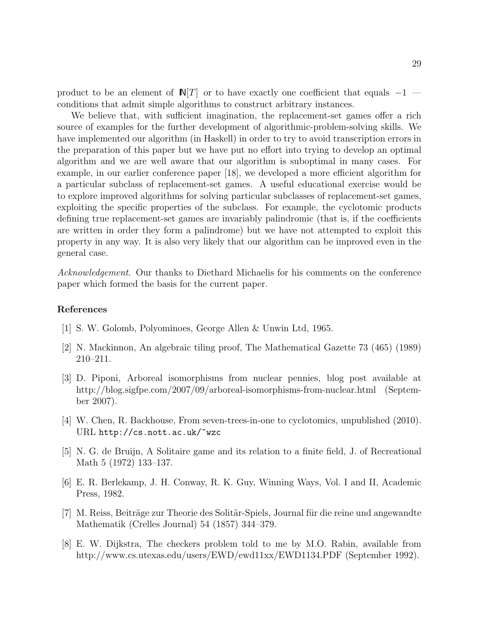product to be an element of  $N[T]$  or to have exactly one coefficient that equals  $-1$  conditions that admit simple algorithms to construct arbitrary instances.

We believe that, with sufficient imagination, the replacement-set games offer a rich source of examples for the further development of algorithmic-problem-solving skills. We have implemented our algorithm (in Haskell) in order to try to avoid transcription errors in the preparation of this paper but we have put no effort into trying to develop an optimal algorithm and we are well aware that our algorithm is suboptimal in many cases. For example, in our earlier conference paper [18], we developed a more efficient algorithm for a particular subclass of replacement-set games. A useful educational exercise would be to explore improved algorithms for solving particular subclasses of replacement-set games, exploiting the specific properties of the subclass. For example, the cyclotomic products defining true replacement-set games are invariably palindromic (that is, if the coefficients are written in order they form a palindrome) but we have not attempted to exploit this property in any way. It is also very likely that our algorithm can be improved even in the general case.

Acknowledgement. Our thanks to Diethard Michaelis for his comments on the conference paper which formed the basis for the current paper.

# References

- [1] S. W. Golomb, Polyominoes, George Allen & Unwin Ltd, 1965.
- [2] N. Mackinnon, An algebraic tiling proof, The Mathematical Gazette 73 (465) (1989) 210–211.
- [3] D. Piponi, Arboreal isomorphisms from nuclear pennies, blog post available at http://blog.sigfpe.com/2007/09/arboreal-isomorphisms-from-nuclear.html (September 2007).
- [4] W. Chen, R. Backhouse, From seven-trees-in-one to cyclotomics, unpublished (2010). URL http://cs.nott.ac.uk/~wzc
- [5] N. G. de Bruijn, A Solitaire game and its relation to a finite field, J. of Recreational Math 5 (1972) 133–137.
- [6] E. R. Berlekamp, J. H. Conway, R. K. Guy, Winning Ways, Vol. I and II, Academic Press, 1982.
- [7] M. Reiss, Beiträge zur Theorie des Solitär-Spiels, Journal für die reine und angewandte Mathematik (Crelles Journal) 54 (1857) 344–379.
- [8] E. W. Dijkstra, The checkers problem told to me by M.O. Rabin, available from http://www.cs.utexas.edu/users/EWD/ewd11xx/EWD1134.PDF (September 1992).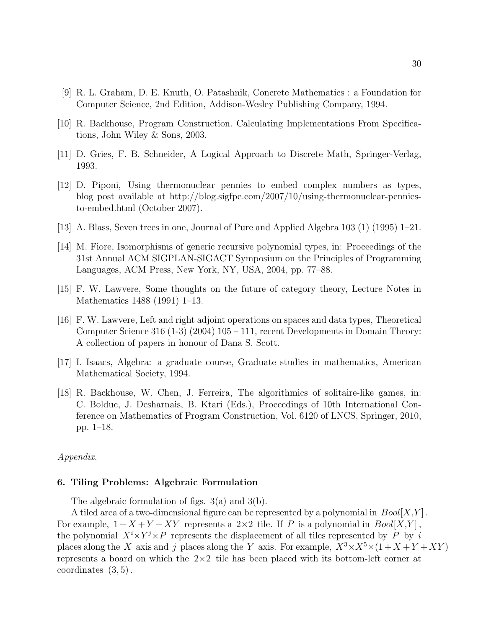- [9] R. L. Graham, D. E. Knuth, O. Patashnik, Concrete Mathematics : a Foundation for Computer Science, 2nd Edition, Addison-Wesley Publishing Company, 1994.
- [10] R. Backhouse, Program Construction. Calculating Implementations From Specifications, John Wiley & Sons, 2003.
- [11] D. Gries, F. B. Schneider, A Logical Approach to Discrete Math, Springer-Verlag, 1993.
- [12] D. Piponi, Using thermonuclear pennies to embed complex numbers as types, blog post available at http://blog.sigfpe.com/2007/10/using-thermonuclear-penniesto-embed.html (October 2007).
- [13] A. Blass, Seven trees in one, Journal of Pure and Applied Algebra 103 (1) (1995) 1–21.
- [14] M. Fiore, Isomorphisms of generic recursive polynomial types, in: Proceedings of the 31st Annual ACM SIGPLAN-SIGACT Symposium on the Principles of Programming Languages, ACM Press, New York, NY, USA, 2004, pp. 77–88.
- [15] F. W. Lawvere, Some thoughts on the future of category theory, Lecture Notes in Mathematics 1488 (1991) 1–13.
- [16] F. W. Lawvere, Left and right adjoint operations on spaces and data types, Theoretical Computer Science 316 (1-3) (2004) 105 – 111, recent Developments in Domain Theory: A collection of papers in honour of Dana S. Scott.
- [17] I. Isaacs, Algebra: a graduate course, Graduate studies in mathematics, American Mathematical Society, 1994.
- [18] R. Backhouse, W. Chen, J. Ferreira, The algorithmics of solitaire-like games, in: C. Bolduc, J. Desharnais, B. Ktari (Eds.), Proceedings of 10th International Conference on Mathematics of Program Construction, Vol. 6120 of LNCS, Springer, 2010, pp. 1–18.

## Appendix.

#### 6. Tiling Problems: Algebraic Formulation

The algebraic formulation of figs. 3(a) and 3(b).

A tiled area of a two-dimensional figure can be represented by a polynomial in  $Bool[X,Y]$ . For example,  $1+X+Y+XY$  represents a  $2\times 2$  tile. If P is a polynomial in  $Bool[X,Y]$ , the polynomial  $X^i \times Y^j \times P$  represents the displacement of all tiles represented by P by i places along the X axis and j places along the Y axis. For example,  $X^3 \times X^5 \times (1 + X + Y + XY)$ represents a board on which the 2×2 tile has been placed with its bottom-left corner at coordinates (3, 5) .